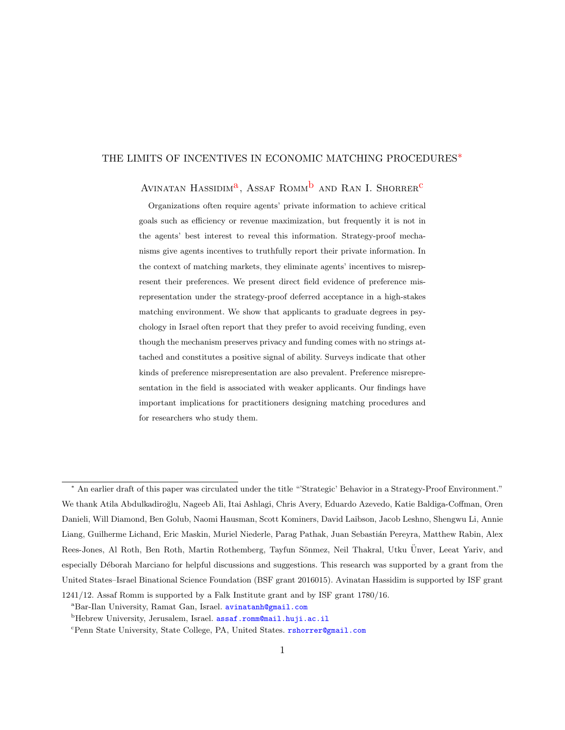### THE LIMITS OF INCENTIVES IN ECONOMIC MATCHING PROCEDURES<sup>\*</sup>

# Avin[a](#page-0-1)tan Hassidim<sup>a</sup>, Assaf Romm<sup>[b](#page-0-2)</sup> and Ran I. Shorrer<sup>[c](#page-0-3)</sup>

Organizations often require agents' private information to achieve critical goals such as efficiency or revenue maximization, but frequently it is not in the agents' best interest to reveal this information. Strategy-proof mechanisms give agents incentives to truthfully report their private information. In the context of matching markets, they eliminate agents' incentives to misrepresent their preferences. We present direct field evidence of preference misrepresentation under the strategy-proof deferred acceptance in a high-stakes matching environment. We show that applicants to graduate degrees in psychology in Israel often report that they prefer to avoid receiving funding, even though the mechanism preserves privacy and funding comes with no strings attached and constitutes a positive signal of ability. Surveys indicate that other kinds of preference misrepresentation are also prevalent. Preference misrepresentation in the field is associated with weaker applicants. Our findings have important implications for practitioners designing matching procedures and for researchers who study them.

<span id="page-0-0"></span><sup>∗</sup> An earlier draft of this paper was circulated under the title "'Strategic' Behavior in a Strategy-Proof Environment." We thank Atila Abdulkadiro˘glu, Nageeb Ali, Itai Ashlagi, Chris Avery, Eduardo Azevedo, Katie Baldiga-Coffman, Oren Danieli, Will Diamond, Ben Golub, Naomi Hausman, Scott Kominers, David Laibson, Jacob Leshno, Shengwu Li, Annie Liang, Guilherme Lichand, Eric Maskin, Muriel Niederle, Parag Pathak, Juan Sebastián Pereyra, Matthew Rabin, Alex Rees-Jones, Al Roth, Ben Roth, Martin Rothemberg, Tayfun Sönmez, Neil Thakral, Utku Ünver, Leeat Yariv, and especially Déborah Marciano for helpful discussions and suggestions. This research was supported by a grant from the United States–Israel Binational Science Foundation (BSF grant 2016015). Avinatan Hassidim is supported by ISF grant 1241/12. Assaf Romm is supported by a Falk Institute grant and by ISF grant 1780/16.

<span id="page-0-2"></span><span id="page-0-1"></span><sup>a</sup>Bar-Ilan University, Ramat Gan, Israel. [avinatanh@gmail.com](mailto:avinatanh@gmail.com)

<span id="page-0-3"></span><sup>&</sup>lt;sup>b</sup>Hebrew University, Jerusalem, Israel. [assaf.romm@mail.huji.ac.il](mailto:assaf.romm@mail.huji.ac.il)

<sup>c</sup>Penn State University, State College, PA, United States. [rshorrer@gmail.com](mailto:rshorrer@gmail.com)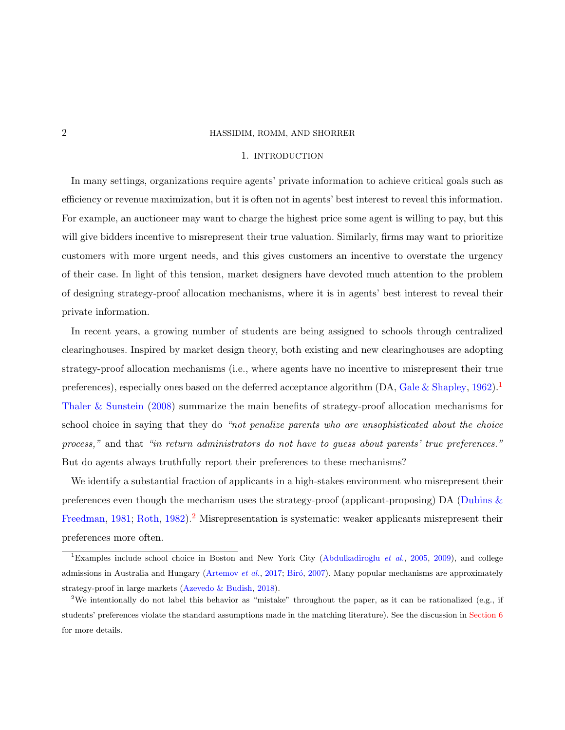#### 1. INTRODUCTION

In many settings, organizations require agents' private information to achieve critical goals such as efficiency or revenue maximization, but it is often not in agents' best interest to reveal this information. For example, an auctioneer may want to charge the highest price some agent is willing to pay, but this will give bidders incentive to misrepresent their true valuation. Similarly, firms may want to prioritize customers with more urgent needs, and this gives customers an incentive to overstate the urgency of their case. In light of this tension, market designers have devoted much attention to the problem of designing strategy-proof allocation mechanisms, where it is in agents' best interest to reveal their private information.

In recent years, a growing number of students are being assigned to schools through centralized clearinghouses. Inspired by market design theory, both existing and new clearinghouses are adopting strategy-proof allocation mechanisms (i.e., where agents have no incentive to misrepresent their true preferences), especially ones based on the deferred acceptance algorithm  $(DA, Gale & Shapely, 1962).$  $(DA, Gale & Shapely, 1962).$  $(DA, Gale & Shapely, 1962).$ [Thaler & Sunstein](#page-28-0) [\(2008\)](#page-28-0) summarize the main benefits of strategy-proof allocation mechanisms for school choice in saying that they do "not penalize parents who are unsophisticated about the choice process," and that "in return administrators do not have to guess about parents' true preferences." But do agents always truthfully report their preferences to these mechanisms?

We identify a substantial fraction of applicants in a high-stakes environment who misrepresent their preferences even though the mechanism uses the strategy-proof (applicant-proposing) DA (Dubins  $\&$ [Freedman,](#page-26-0) [1981;](#page-26-0) [Roth,](#page-28-1) [1982\)](#page-28-1).<sup>[2](#page-1-1)</sup> Misrepresentation is systematic: weaker applicants misrepresent their preferences more often.

<span id="page-1-0"></span><sup>&</sup>lt;sup>1</sup>Examples include school choice in Boston and New York City (Abdulkadiroğlu et al., [2005,](#page-24-0) [2009\)](#page-24-1), and college admissions in Australia and Hungary [\(Artemov](#page-25-0) et al., [2017;](#page-25-0) Biró, [2007\)](#page-25-1). Many popular mechanisms are approximately strategy-proof in large markets [\(Azevedo & Budish,](#page-25-2) [2018\)](#page-25-2).

<span id="page-1-1"></span><sup>&</sup>lt;sup>2</sup>We intentionally do not label this behavior as "mistake" throughout the paper, as it can be rationalized (e.g., if students' preferences violate the standard assumptions made in the matching literature). See the discussion in [Section 6](#page-22-0) for more details.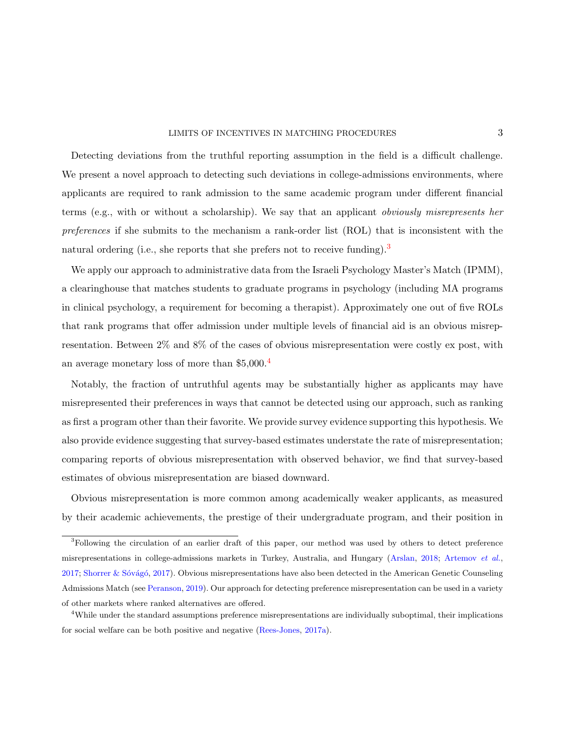Detecting deviations from the truthful reporting assumption in the field is a difficult challenge. We present a novel approach to detecting such deviations in college-admissions environments, where applicants are required to rank admission to the same academic program under different financial terms (e.g., with or without a scholarship). We say that an applicant obviously misrepresents her preferences if she submits to the mechanism a rank-order list (ROL) that is inconsistent with the natural ordering (i.e., she reports that she prefers not to receive funding).<sup>[3](#page-2-0)</sup>

We apply our approach to administrative data from the Israeli Psychology Master's Match (IPMM), a clearinghouse that matches students to graduate programs in psychology (including MA programs in clinical psychology, a requirement for becoming a therapist). Approximately one out of five ROLs that rank programs that offer admission under multiple levels of financial aid is an obvious misrepresentation. Between 2% and 8% of the cases of obvious misrepresentation were costly ex post, with an average monetary loss of more than  $$5,000.<sup>4</sup>$  $$5,000.<sup>4</sup>$  $$5,000.<sup>4</sup>$ 

Notably, the fraction of untruthful agents may be substantially higher as applicants may have misrepresented their preferences in ways that cannot be detected using our approach, such as ranking as first a program other than their favorite. We provide survey evidence supporting this hypothesis. We also provide evidence suggesting that survey-based estimates understate the rate of misrepresentation; comparing reports of obvious misrepresentation with observed behavior, we find that survey-based estimates of obvious misrepresentation are biased downward.

Obvious misrepresentation is more common among academically weaker applicants, as measured by their academic achievements, the prestige of their undergraduate program, and their position in

<span id="page-2-0"></span><sup>3</sup>Following the circulation of an earlier draft of this paper, our method was used by others to detect preference misrepresentations in college-admissions markets in Turkey, Australia, and Hungary [\(Arslan,](#page-25-3) [2018;](#page-25-3) [Artemov](#page-25-0) et al., [2017;](#page-25-0) Shorrer & Sóvágó, [2017\)](#page-28-2). Obvious misrepresentations have also been detected in the American Genetic Counseling Admissions Match (see [Peranson,](#page-28-3) [2019\)](#page-28-3). Our approach for detecting preference misrepresentation can be used in a variety of other markets where ranked alternatives are offered.

<span id="page-2-1"></span><sup>4</sup>While under the standard assumptions preference misrepresentations are individually suboptimal, their implications for social welfare can be both positive and negative [\(Rees-Jones,](#page-28-4) [2017a\)](#page-28-4).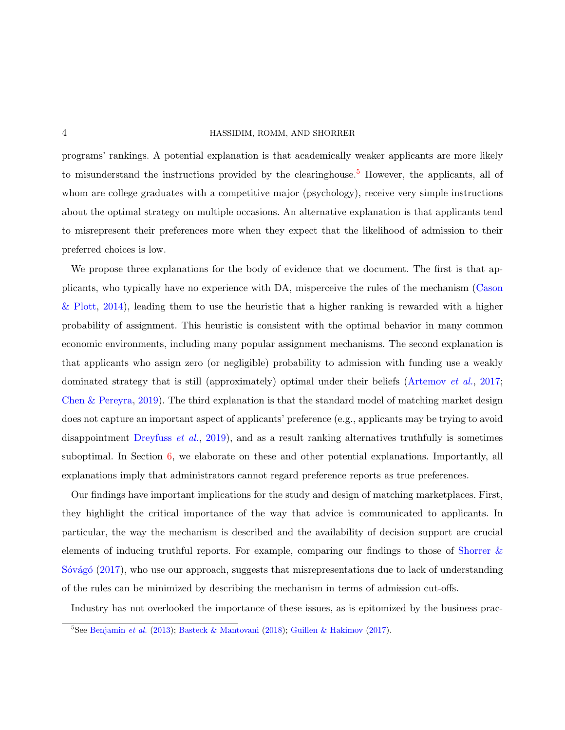programs' rankings. A potential explanation is that academically weaker applicants are more likely to misunderstand the instructions provided by the clearinghouse.<sup>[5](#page-3-0)</sup> However, the applicants, all of whom are college graduates with a competitive major (psychology), receive very simple instructions about the optimal strategy on multiple occasions. An alternative explanation is that applicants tend to misrepresent their preferences more when they expect that the likelihood of admission to their preferred choices is low.

We propose three explanations for the body of evidence that we document. The first is that applicants, who typically have no experience with DA, misperceive the rules of the mechanism [\(Cason](#page-26-1) [& Plott,](#page-26-1) [2014\)](#page-26-1), leading them to use the heuristic that a higher ranking is rewarded with a higher probability of assignment. This heuristic is consistent with the optimal behavior in many common economic environments, including many popular assignment mechanisms. The second explanation is that applicants who assign zero (or negligible) probability to admission with funding use a weakly dominated strategy that is still (approximately) optimal under their beliefs [\(Artemov](#page-25-0) *et al.*, [2017;](#page-25-0) [Chen & Pereyra,](#page-26-2) [2019\)](#page-26-2). The third explanation is that the standard model of matching market design does not capture an important aspect of applicants' preference (e.g., applicants may be trying to avoid disappointment [Dreyfuss](#page-26-3) *et al.*, [2019\)](#page-26-3), and as a result ranking alternatives truthfully is sometimes suboptimal. In Section [6,](#page-22-0) we elaborate on these and other potential explanations. Importantly, all explanations imply that administrators cannot regard preference reports as true preferences.

Our findings have important implications for the study and design of matching marketplaces. First, they highlight the critical importance of the way that advice is communicated to applicants. In particular, the way the mechanism is described and the availability of decision support are crucial elements of inducing truthful reports. For example, comparing our findings to those of [Shorrer &](#page-28-2) Sóvágó [\(2017\)](#page-28-2), who use our approach, suggests that misrepresentations due to lack of understanding of the rules can be minimized by describing the mechanism in terms of admission cut-offs.

Industry has not overlooked the importance of these issues, as is epitomized by the business prac-

<span id="page-3-0"></span><sup>&</sup>lt;sup>5</sup>See [Benjamin](#page-25-4) et al. [\(2013\)](#page-25-4); [Basteck & Mantovani](#page-25-5) [\(2018\)](#page-25-5); [Guillen & Hakimov](#page-27-1) [\(2017\)](#page-27-1).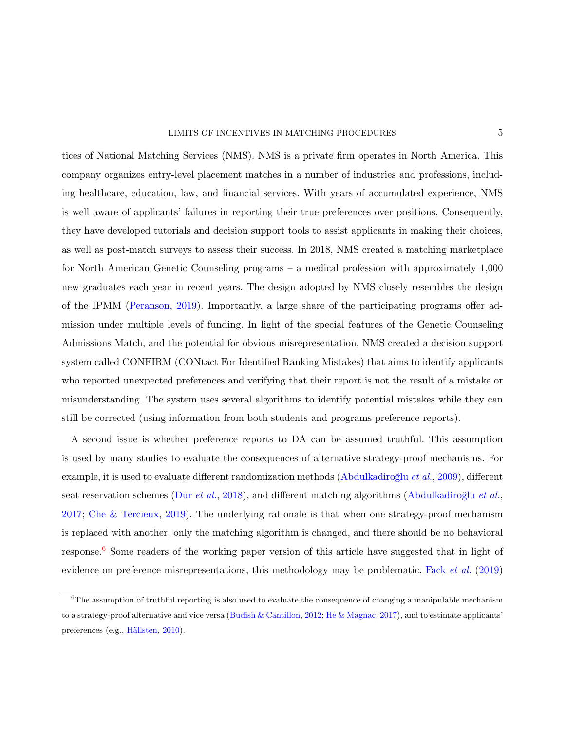tices of National Matching Services (NMS). NMS is a private firm operates in North America. This company organizes entry-level placement matches in a number of industries and professions, including healthcare, education, law, and financial services. With years of accumulated experience, NMS is well aware of applicants' failures in reporting their true preferences over positions. Consequently, they have developed tutorials and decision support tools to assist applicants in making their choices, as well as post-match surveys to assess their success. In 2018, NMS created a matching marketplace for North American Genetic Counseling programs – a medical profession with approximately 1,000 new graduates each year in recent years. The design adopted by NMS closely resembles the design of the IPMM [\(Peranson,](#page-28-3) [2019\)](#page-28-3). Importantly, a large share of the participating programs offer admission under multiple levels of funding. In light of the special features of the Genetic Counseling Admissions Match, and the potential for obvious misrepresentation, NMS created a decision support system called CONFIRM (CONtact For Identified Ranking Mistakes) that aims to identify applicants who reported unexpected preferences and verifying that their report is not the result of a mistake or misunderstanding. The system uses several algorithms to identify potential mistakes while they can still be corrected (using information from both students and programs preference reports).

A second issue is whether preference reports to DA can be assumed truthful. This assumption is used by many studies to evaluate the consequences of alternative strategy-proof mechanisms. For example, it is used to evaluate different randomization methods (Abdulkadiroğlu et al., [2009\)](#page-24-1), different seat reservation schemes (Dur *[et al.](#page-26-4)*, [2018\)](#page-26-4), and different matching algorithms (Abdulkadiroğlu *et al.*, [2017;](#page-25-6) [Che & Tercieux,](#page-26-5) [2019\)](#page-26-5). The underlying rationale is that when one strategy-proof mechanism is replaced with another, only the matching algorithm is changed, and there should be no behavioral response.<sup>[6](#page-4-0)</sup> Some readers of the working paper version of this article have suggested that in light of evidence on preference misrepresentations, this methodology may be problematic. Fack *[et al.](#page-27-2)* [\(2019\)](#page-27-2)

<span id="page-4-0"></span> ${}^{6}$ The assumption of truthful reporting is also used to evaluate the consequence of changing a manipulable mechanism to a strategy-proof alternative and vice versa [\(Budish & Cantillon,](#page-26-6) [2012;](#page-26-6) [He & Magnac,](#page-27-3) [2017\)](#page-27-3), and to estimate applicants' preferences (e.g., Hällsten, [2010\)](#page-27-4).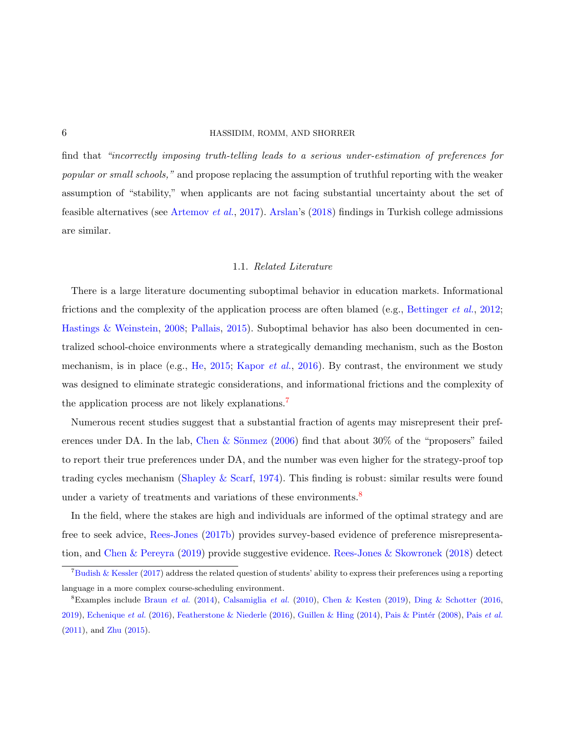find that "incorrectly imposing truth-telling leads to a serious under-estimation of preferences for popular or small schools," and propose replacing the assumption of truthful reporting with the weaker assumption of "stability," when applicants are not facing substantial uncertainty about the set of feasible alternatives (see [Artemov](#page-25-0) *et al.*, [2017\)](#page-25-0). [Arslan'](#page-25-3)s [\(2018\)](#page-25-3) findings in Turkish college admissions are similar.

#### 1.1. Related Literature

There is a large literature documenting suboptimal behavior in education markets. Informational frictions and the complexity of the application process are often blamed (e.g., [Bettinger](#page-25-7) *et al.*, [2012;](#page-25-7) [Hastings & Weinstein,](#page-27-5) [2008;](#page-27-5) [Pallais,](#page-28-5) [2015\)](#page-28-5). Suboptimal behavior has also been documented in centralized school-choice environments where a strategically demanding mechanism, such as the Boston mechanism, is in place (e.g., [He,](#page-27-6) [2015;](#page-27-6) [Kapor](#page-27-7) et al., [2016\)](#page-27-7). By contrast, the environment we study was designed to eliminate strategic considerations, and informational frictions and the complexity of the application process are not likely explanations.<sup>[7](#page-5-0)</sup>

Numerous recent studies suggest that a substantial fraction of agents may misrepresent their pref-erences under DA. In the lab, Chen & Sönmez [\(2006\)](#page-26-7) find that about 30% of the "proposers" failed to report their true preferences under DA, and the number was even higher for the strategy-proof top trading cycles mechanism [\(Shapley & Scarf,](#page-28-6) [1974\)](#page-28-6). This finding is robust: similar results were found under a variety of treatments and variations of these environments.<sup>[8](#page-5-1)</sup>

In the field, where the stakes are high and individuals are informed of the optimal strategy and are free to seek advice, [Rees-Jones](#page-28-7) [\(2017b\)](#page-28-7) provides survey-based evidence of preference misrepresentation, and [Chen & Pereyra](#page-26-2) [\(2019\)](#page-26-2) provide suggestive evidence. [Rees-Jones & Skowronek](#page-28-8) [\(2018\)](#page-28-8) detect

<span id="page-5-0"></span> $7Budish \& Kessler (2017)$  $7Budish \& Kessler (2017)$  address the related question of students' ability to express their preferences using a reporting language in a more complex course-scheduling environment.

<span id="page-5-1"></span><sup>&</sup>lt;sup>8</sup>Examples include [Braun](#page-25-8) *et al.* [\(2014\)](#page-25-8), [Calsamiglia](#page-26-9) *et al.* [\(2010\)](#page-26-9), [Chen & Kesten](#page-26-10) [\(2019\)](#page-26-10), [Ding & Schotter](#page-26-11) [\(2016,](#page-26-11) [2019\)](#page-26-12), [Echenique](#page-26-13) et al. [\(2016\)](#page-27-8), [Featherstone & Niederle](#page-27-8) (2016), [Guillen & Hing](#page-27-9) [\(2014\)](#page-27-9), Pais & Pintér [\(2008\)](#page-28-9), Pais [et al.](#page-28-10) [\(2011\)](#page-28-10), and [Zhu](#page-29-0) [\(2015\)](#page-29-0).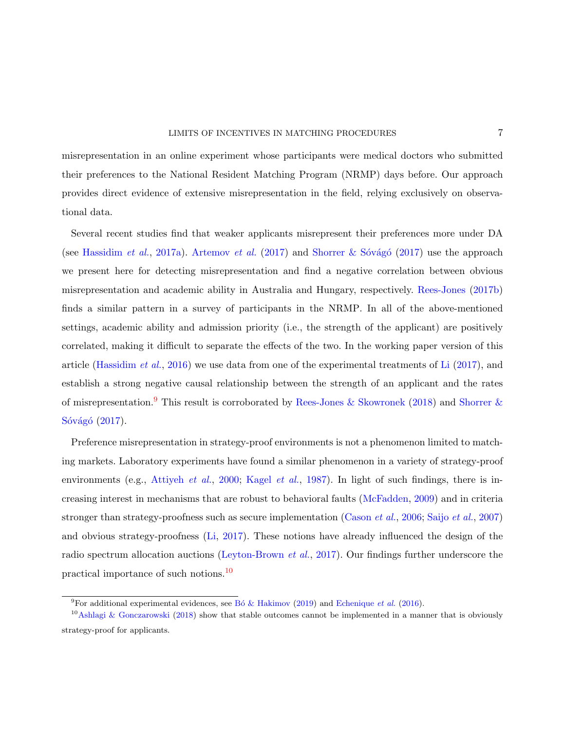misrepresentation in an online experiment whose participants were medical doctors who submitted their preferences to the National Resident Matching Program (NRMP) days before. Our approach provides direct evidence of extensive misrepresentation in the field, relying exclusively on observational data.

Several recent studies find that weaker applicants misrepresent their preferences more under DA (see [Hassidim](#page-27-10) *et al.*, [2017a\)](#page-27-10). [Artemov](#page-25-0) *et al.* [\(2017\)](#page-28-2) and Shorrer & Sóvágó (2017) use the approach we present here for detecting misrepresentation and find a negative correlation between obvious misrepresentation and academic ability in Australia and Hungary, respectively. [Rees-Jones](#page-28-7) [\(2017b\)](#page-28-7) finds a similar pattern in a survey of participants in the NRMP. In all of the above-mentioned settings, academic ability and admission priority (i.e., the strength of the applicant) are positively correlated, making it difficult to separate the effects of the two. In the working paper version of this article [\(Hassidim](#page-27-11) *et al.*, [2016\)](#page-27-11) we use data from one of the experimental treatments of [Li](#page-28-11)  $(2017)$ , and establish a strong negative causal relationship between the strength of an applicant and the rates of misrepresentation.<sup>[9](#page-6-0)</sup> This result is corroborated by [Rees-Jones & Skowronek](#page-28-8) [\(2018\)](#page-28-8) and [Shorrer &](#page-28-2) Sóvágó [\(2017\)](#page-28-2).

Preference misrepresentation in strategy-proof environments is not a phenomenon limited to matching markets. Laboratory experiments have found a similar phenomenon in a variety of strategy-proof environments (e.g., [Attiyeh](#page-25-9) *et al.*, [2000;](#page-25-9) [Kagel](#page-27-12) *et al.*, [1987\)](#page-27-12). In light of such findings, there is increasing interest in mechanisms that are robust to behavioral faults [\(McFadden,](#page-28-12) [2009\)](#page-28-12) and in criteria stronger than strategy-proofness such as secure implementation [\(Cason](#page-26-14) *[et al.](#page-28-13)*, [2006;](#page-26-14) Saijo *et al.*, [2007\)](#page-28-13) and obvious strategy-proofness [\(Li,](#page-28-11) [2017\)](#page-28-11). These notions have already influenced the design of the radio spectrum allocation auctions [\(Leyton-Brown](#page-28-14) *et al.*, [2017\)](#page-28-14). Our findings further underscore the practical importance of such notions.<sup>[10](#page-6-1)</sup>

<span id="page-6-1"></span><span id="page-6-0"></span><sup>&</sup>lt;sup>9</sup>For additional experimental evidences, see Bó & Hakimov [\(2019\)](#page-25-10) and [Echenique](#page-26-13) *et al.* [\(2016\)](#page-26-13).

<sup>&</sup>lt;sup>10</sup>[Ashlagi & Gonczarowski](#page-25-11) [\(2018\)](#page-25-11) show that stable outcomes cannot be implemented in a manner that is obviously strategy-proof for applicants.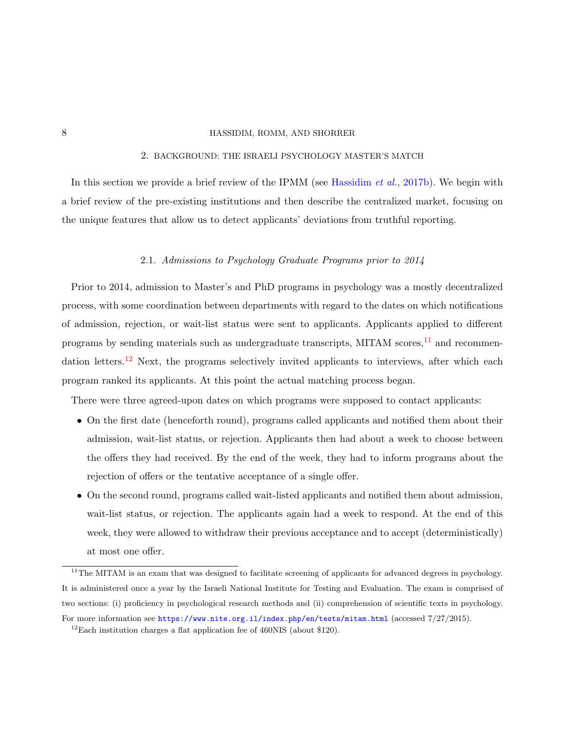#### 2. BACKGROUND: THE ISRAELI PSYCHOLOGY MASTER'S MATCH

In this section we provide a brief review of the IPMM (see [Hassidim](#page-27-13) *et al.*, [2017b\)](#page-27-13). We begin with a brief review of the pre-existing institutions and then describe the centralized market, focusing on the unique features that allow us to detect applicants' deviations from truthful reporting.

## 2.1. Admissions to Psychology Graduate Programs prior to 2014

Prior to 2014, admission to Master's and PhD programs in psychology was a mostly decentralized process, with some coordination between departments with regard to the dates on which notifications of admission, rejection, or wait-list status were sent to applicants. Applicants applied to different programs by sending materials such as undergraduate transcripts, MITAM scores,  $^{11}$  $^{11}$  $^{11}$  and recommen-dation letters.<sup>[12](#page-7-1)</sup> Next, the programs selectively invited applicants to interviews, after which each program ranked its applicants. At this point the actual matching process began.

There were three agreed-upon dates on which programs were supposed to contact applicants:

- On the first date (henceforth round), programs called applicants and notified them about their admission, wait-list status, or rejection. Applicants then had about a week to choose between the offers they had received. By the end of the week, they had to inform programs about the rejection of offers or the tentative acceptance of a single offer.
- On the second round, programs called wait-listed applicants and notified them about admission, wait-list status, or rejection. The applicants again had a week to respond. At the end of this week, they were allowed to withdraw their previous acceptance and to accept (deterministically) at most one offer.

<span id="page-7-0"></span> $11$ The MITAM is an exam that was designed to facilitate screening of applicants for advanced degrees in psychology. It is administered once a year by the Israeli National Institute for Testing and Evaluation. The exam is comprised of two sections: (i) proficiency in psychological research methods and (ii) comprehension of scientific texts in psychology.

For more information see <https://www.nite.org.il/index.php/en/tests/mitam.html> (accessed 7/27/2015).

<span id="page-7-1"></span> $12$ Each institution charges a flat application fee of 460NIS (about \$120).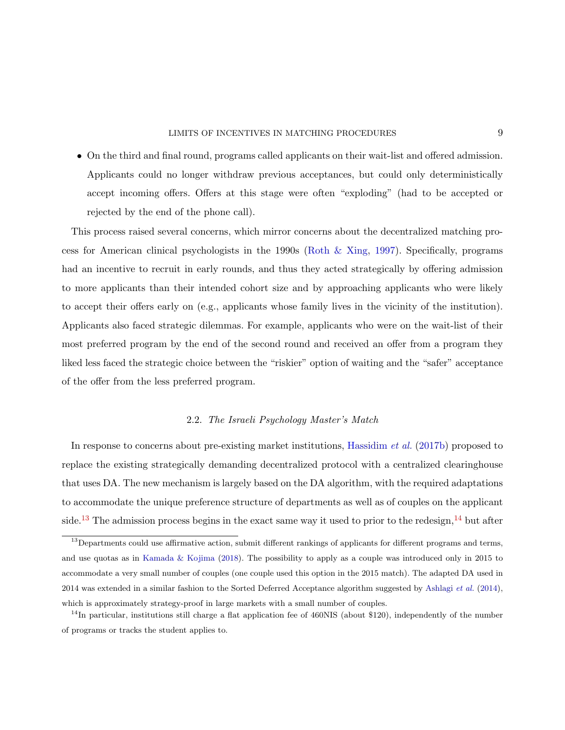• On the third and final round, programs called applicants on their wait-list and offered admission. Applicants could no longer withdraw previous acceptances, but could only deterministically accept incoming offers. Offers at this stage were often "exploding" (had to be accepted or rejected by the end of the phone call).

This process raised several concerns, which mirror concerns about the decentralized matching process for American clinical psychologists in the 1990s [\(Roth & Xing,](#page-28-15) [1997\)](#page-28-15). Specifically, programs had an incentive to recruit in early rounds, and thus they acted strategically by offering admission to more applicants than their intended cohort size and by approaching applicants who were likely to accept their offers early on (e.g., applicants whose family lives in the vicinity of the institution). Applicants also faced strategic dilemmas. For example, applicants who were on the wait-list of their most preferred program by the end of the second round and received an offer from a program they liked less faced the strategic choice between the "riskier" option of waiting and the "safer" acceptance of the offer from the less preferred program.

### 2.2. The Israeli Psychology Master's Match

In response to concerns about pre-existing market institutions, [Hassidim](#page-27-13) et al. [\(2017b\)](#page-27-13) proposed to replace the existing strategically demanding decentralized protocol with a centralized clearinghouse that uses DA. The new mechanism is largely based on the DA algorithm, with the required adaptations to accommodate the unique preference structure of departments as well as of couples on the applicant side.<sup>[13](#page-8-0)</sup> The admission process begins in the exact same way it used to prior to the redesign,  $14$  but after

<span id="page-8-0"></span><sup>&</sup>lt;sup>13</sup>Departments could use affirmative action, submit different rankings of applicants for different programs and terms, and use quotas as in [Kamada & Kojima](#page-27-14) [\(2018\)](#page-27-14). The possibility to apply as a couple was introduced only in 2015 to accommodate a very small number of couples (one couple used this option in the 2015 match). The adapted DA used in  $2014$  was extended in a similar fashion to the Sorted Deferred Acceptance algorithm suggested by [Ashlagi](#page-25-12) et al. [\(2014\)](#page-25-12), which is approximately strategy-proof in large markets with a small number of couples.

<span id="page-8-1"></span> $14$ In particular, institutions still charge a flat application fee of 460NIS (about \$120), independently of the number of programs or tracks the student applies to.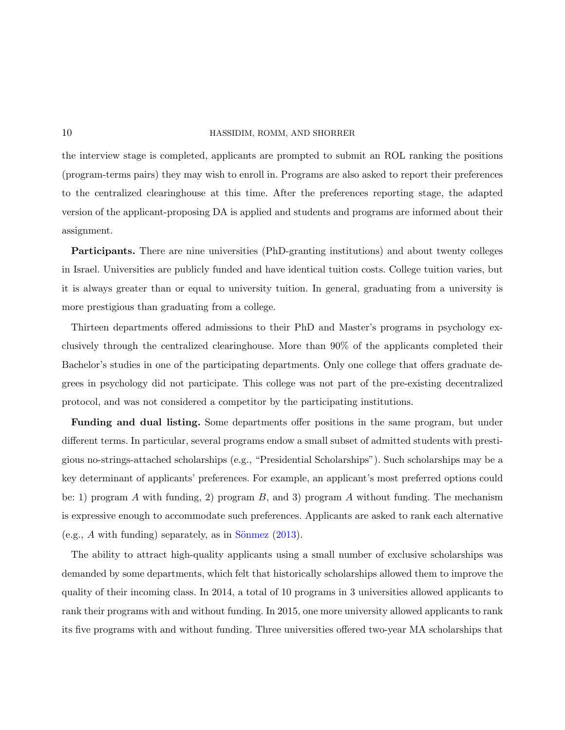the interview stage is completed, applicants are prompted to submit an ROL ranking the positions (program-terms pairs) they may wish to enroll in. Programs are also asked to report their preferences to the centralized clearinghouse at this time. After the preferences reporting stage, the adapted version of the applicant-proposing DA is applied and students and programs are informed about their assignment.

Participants. There are nine universities (PhD-granting institutions) and about twenty colleges in Israel. Universities are publicly funded and have identical tuition costs. College tuition varies, but it is always greater than or equal to university tuition. In general, graduating from a university is more prestigious than graduating from a college.

Thirteen departments offered admissions to their PhD and Master's programs in psychology exclusively through the centralized clearinghouse. More than 90% of the applicants completed their Bachelor's studies in one of the participating departments. Only one college that offers graduate degrees in psychology did not participate. This college was not part of the pre-existing decentralized protocol, and was not considered a competitor by the participating institutions.

Funding and dual listing. Some departments offer positions in the same program, but under different terms. In particular, several programs endow a small subset of admitted students with prestigious no-strings-attached scholarships (e.g., "Presidential Scholarships"). Such scholarships may be a key determinant of applicants' preferences. For example, an applicant's most preferred options could be: 1) program A with funding, 2) program B, and 3) program A without funding. The mechanism is expressive enough to accommodate such preferences. Applicants are asked to rank each alternative (e.g., A with funding) separately, as in  $Sönmez$  [\(2013\)](#page-28-16).

The ability to attract high-quality applicants using a small number of exclusive scholarships was demanded by some departments, which felt that historically scholarships allowed them to improve the quality of their incoming class. In 2014, a total of 10 programs in 3 universities allowed applicants to rank their programs with and without funding. In 2015, one more university allowed applicants to rank its five programs with and without funding. Three universities offered two-year MA scholarships that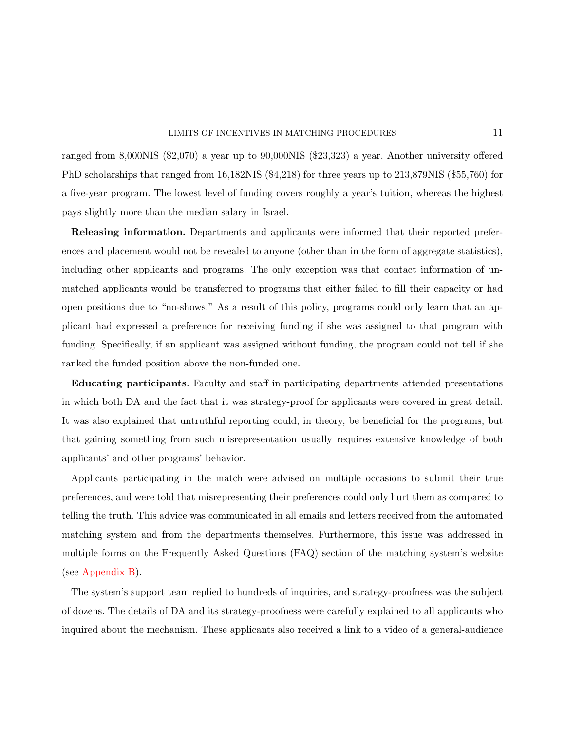ranged from 8,000NIS (\$2,070) a year up to 90,000NIS (\$23,323) a year. Another university offered PhD scholarships that ranged from 16,182NIS (\$4,218) for three years up to 213,879NIS (\$55,760) for a five-year program. The lowest level of funding covers roughly a year's tuition, whereas the highest pays slightly more than the median salary in Israel.

Releasing information. Departments and applicants were informed that their reported preferences and placement would not be revealed to anyone (other than in the form of aggregate statistics), including other applicants and programs. The only exception was that contact information of unmatched applicants would be transferred to programs that either failed to fill their capacity or had open positions due to "no-shows." As a result of this policy, programs could only learn that an applicant had expressed a preference for receiving funding if she was assigned to that program with funding. Specifically, if an applicant was assigned without funding, the program could not tell if she ranked the funded position above the non-funded one.

Educating participants. Faculty and staff in participating departments attended presentations in which both DA and the fact that it was strategy-proof for applicants were covered in great detail. It was also explained that untruthful reporting could, in theory, be beneficial for the programs, but that gaining something from such misrepresentation usually requires extensive knowledge of both applicants' and other programs' behavior.

Applicants participating in the match were advised on multiple occasions to submit their true preferences, and were told that misrepresenting their preferences could only hurt them as compared to telling the truth. This advice was communicated in all emails and letters received from the automated matching system and from the departments themselves. Furthermore, this issue was addressed in multiple forms on the Frequently Asked Questions (FAQ) section of the matching system's website (see [Appendix B\)](#page-35-0).

The system's support team replied to hundreds of inquiries, and strategy-proofness was the subject of dozens. The details of DA and its strategy-proofness were carefully explained to all applicants who inquired about the mechanism. These applicants also received a link to a video of a general-audience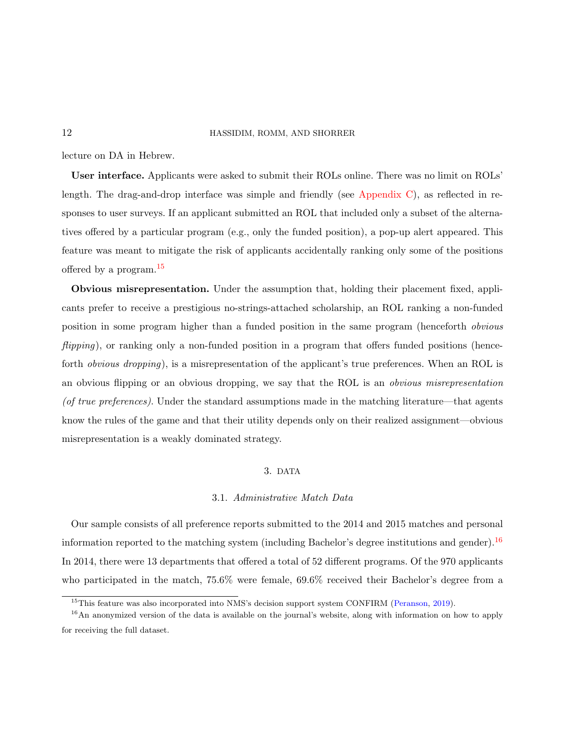lecture on DA in Hebrew.

User interface. Applicants were asked to submit their ROLs online. There was no limit on ROLs' length. The drag-and-drop interface was simple and friendly (see [Appendix C\)](#page-37-0), as reflected in responses to user surveys. If an applicant submitted an ROL that included only a subset of the alternatives offered by a particular program (e.g., only the funded position), a pop-up alert appeared. This feature was meant to mitigate the risk of applicants accidentally ranking only some of the positions offered by a program.<sup>[15](#page-11-0)</sup>

Obvious misrepresentation. Under the assumption that, holding their placement fixed, applicants prefer to receive a prestigious no-strings-attached scholarship, an ROL ranking a non-funded position in some program higher than a funded position in the same program (henceforth obvious flipping), or ranking only a non-funded position in a program that offers funded positions (henceforth *obvious dropping*), is a misrepresentation of the applicant's true preferences. When an ROL is an obvious flipping or an obvious dropping, we say that the ROL is an *obvious misrepresentation* (of true preferences). Under the standard assumptions made in the matching literature—that agents know the rules of the game and that their utility depends only on their realized assignment—obvious misrepresentation is a weakly dominated strategy.

## 3. DATA

## 3.1. Administrative Match Data

Our sample consists of all preference reports submitted to the 2014 and 2015 matches and personal information reported to the matching system (including Bachelor's degree institutions and gender).<sup>[16](#page-11-1)</sup> In 2014, there were 13 departments that offered a total of 52 different programs. Of the 970 applicants who participated in the match, 75.6% were female, 69.6% received their Bachelor's degree from a

<span id="page-11-1"></span><span id="page-11-0"></span><sup>&</sup>lt;sup>15</sup>This feature was also incorporated into NMS's decision support system CONFIRM [\(Peranson,](#page-28-3) [2019\)](#page-28-3).

<sup>&</sup>lt;sup>16</sup>An anonymized version of the data is available on the journal's website, along with information on how to apply for receiving the full dataset.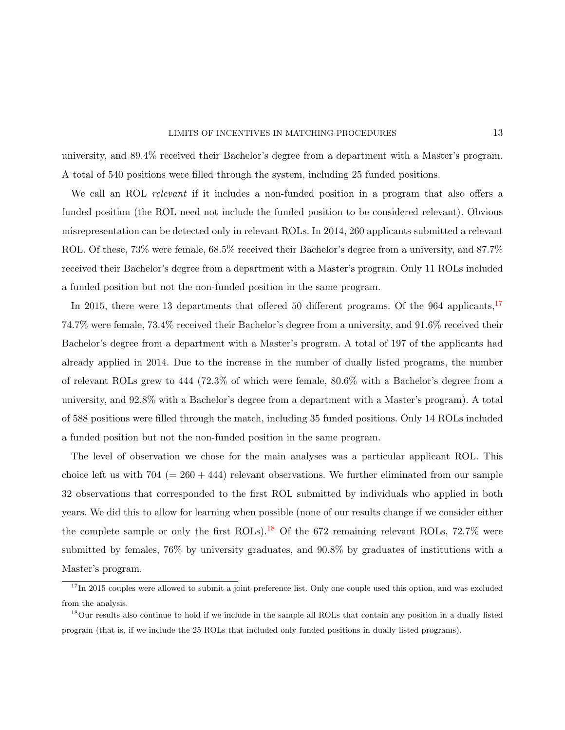university, and 89.4% received their Bachelor's degree from a department with a Master's program. A total of 540 positions were filled through the system, including 25 funded positions.

We call an ROL relevant if it includes a non-funded position in a program that also offers a funded position (the ROL need not include the funded position to be considered relevant). Obvious misrepresentation can be detected only in relevant ROLs. In 2014, 260 applicants submitted a relevant ROL. Of these, 73% were female, 68.5% received their Bachelor's degree from a university, and 87.7% received their Bachelor's degree from a department with a Master's program. Only 11 ROLs included a funded position but not the non-funded position in the same program.

In 2015, there were 13 departments that offered 50 different programs. Of the 964 applicants,<sup>[17](#page-12-0)</sup> 74.7% were female, 73.4% received their Bachelor's degree from a university, and 91.6% received their Bachelor's degree from a department with a Master's program. A total of 197 of the applicants had already applied in 2014. Due to the increase in the number of dually listed programs, the number of relevant ROLs grew to 444 (72.3% of which were female, 80.6% with a Bachelor's degree from a university, and 92.8% with a Bachelor's degree from a department with a Master's program). A total of 588 positions were filled through the match, including 35 funded positions. Only 14 ROLs included a funded position but not the non-funded position in the same program.

The level of observation we chose for the main analyses was a particular applicant ROL. This choice left us with  $704 (= 260 + 444)$  relevant observations. We further eliminated from our sample 32 observations that corresponded to the first ROL submitted by individuals who applied in both years. We did this to allow for learning when possible (none of our results change if we consider either the complete sample or only the first ROLs).<sup>[18](#page-12-1)</sup> Of the 672 remaining relevant ROLs, 72.7% were submitted by females, 76% by university graduates, and 90.8% by graduates of institutions with a Master's program.

<span id="page-12-0"></span> $17$ In 2015 couples were allowed to submit a joint preference list. Only one couple used this option, and was excluded from the analysis.

<span id="page-12-1"></span><sup>&</sup>lt;sup>18</sup>Our results also continue to hold if we include in the sample all ROLs that contain any position in a dually listed program (that is, if we include the 25 ROLs that included only funded positions in dually listed programs).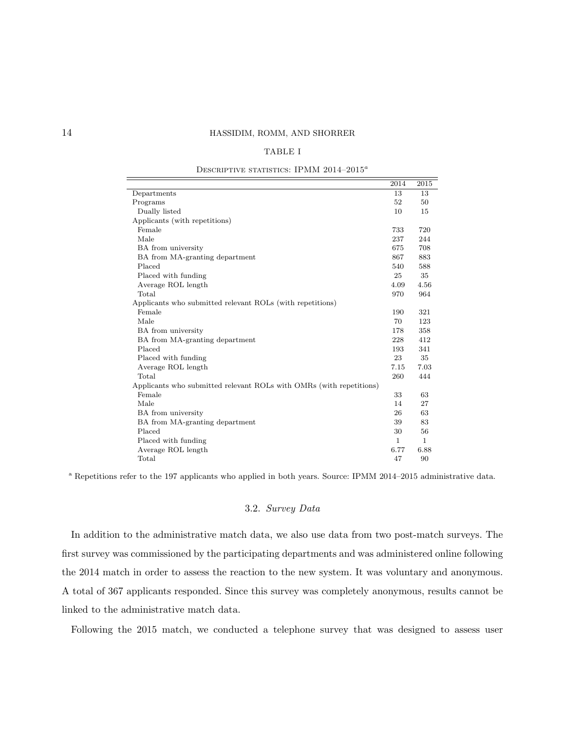## TABLE I

#### DESCRIPTIVE STATISTICS: IPMM  $2014-2015^a$

|                                                                     | 2014         | 2015         |
|---------------------------------------------------------------------|--------------|--------------|
| Departments                                                         | 13           | 13           |
| Programs                                                            | 52           | 50           |
| Dually listed                                                       | 10           | 15           |
| Applicants (with repetitions)                                       |              |              |
| Female                                                              | 733          | 720          |
| Male                                                                | 237          | 244          |
| BA from university                                                  | 675          | 708          |
| BA from MA-granting department                                      | 867          | 883          |
| Placed                                                              | 540          | 588          |
| Placed with funding                                                 | 25           | 35           |
| Average ROL length                                                  | 4.09         | 4.56         |
| Total                                                               | 970          | 964          |
| Applicants who submitted relevant ROLs (with repetitions)           |              |              |
| Female                                                              | 190          | 321          |
| Male                                                                | 70           | 123          |
| BA from university                                                  | 178          | 358          |
| BA from MA-granting department                                      | 228          | 412          |
| Placed                                                              | 193          | 341          |
| Placed with funding                                                 | 23           | 35           |
| Average ROL length                                                  | 7.15         | 7.03         |
| Total                                                               | 260          | 444          |
| Applicants who submitted relevant ROLs with OMRs (with repetitions) |              |              |
| Female                                                              | 33           | 63           |
| Male                                                                | 14           | 27           |
| BA from university                                                  | 26           | 63           |
| BA from MA-granting department                                      | 39           | 83           |
| Placed                                                              | 30           | 56           |
| Placed with funding                                                 | $\mathbf{1}$ | $\mathbf{1}$ |
| Average ROL length                                                  | 6.77         | 6.88         |
| Total                                                               | 47           | 90           |

<sup>a</sup> Repetitions refer to the 197 applicants who applied in both years. Source: IPMM 2014–2015 administrative data.

#### 3.2. Survey Data

In addition to the administrative match data, we also use data from two post-match surveys. The first survey was commissioned by the participating departments and was administered online following the 2014 match in order to assess the reaction to the new system. It was voluntary and anonymous. A total of 367 applicants responded. Since this survey was completely anonymous, results cannot be linked to the administrative match data.

Following the 2015 match, we conducted a telephone survey that was designed to assess user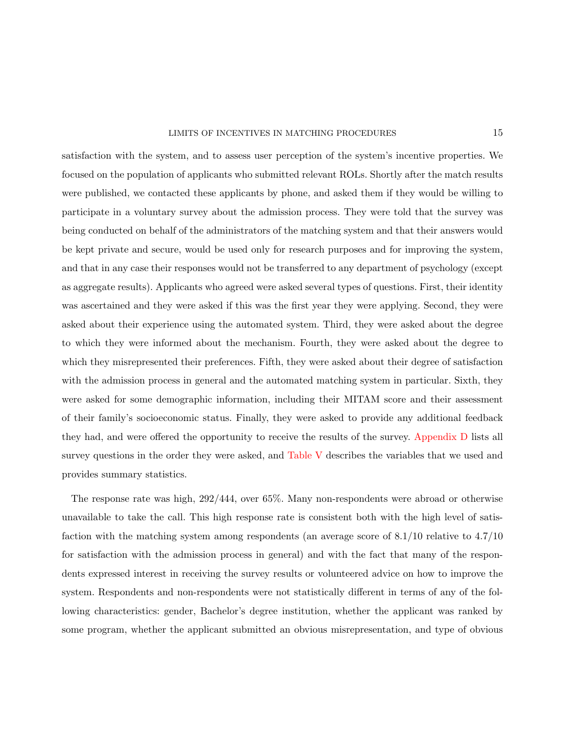satisfaction with the system, and to assess user perception of the system's incentive properties. We focused on the population of applicants who submitted relevant ROLs. Shortly after the match results were published, we contacted these applicants by phone, and asked them if they would be willing to participate in a voluntary survey about the admission process. They were told that the survey was being conducted on behalf of the administrators of the matching system and that their answers would be kept private and secure, would be used only for research purposes and for improving the system, and that in any case their responses would not be transferred to any department of psychology (except as aggregate results). Applicants who agreed were asked several types of questions. First, their identity was ascertained and they were asked if this was the first year they were applying. Second, they were asked about their experience using the automated system. Third, they were asked about the degree to which they were informed about the mechanism. Fourth, they were asked about the degree to which they misrepresented their preferences. Fifth, they were asked about their degree of satisfaction with the admission process in general and the automated matching system in particular. Sixth, they were asked for some demographic information, including their MITAM score and their assessment of their family's socioeconomic status. Finally, they were asked to provide any additional feedback they had, and were offered the opportunity to receive the results of the survey. [Appendix D](#page-38-0) lists all survey questions in the order they were asked, and [Table V](#page-30-0) describes the variables that we used and provides summary statistics.

The response rate was high, 292/444, over 65%. Many non-respondents were abroad or otherwise unavailable to take the call. This high response rate is consistent both with the high level of satisfaction with the matching system among respondents (an average score of 8.1/10 relative to 4.7/10 for satisfaction with the admission process in general) and with the fact that many of the respondents expressed interest in receiving the survey results or volunteered advice on how to improve the system. Respondents and non-respondents were not statistically different in terms of any of the following characteristics: gender, Bachelor's degree institution, whether the applicant was ranked by some program, whether the applicant submitted an obvious misrepresentation, and type of obvious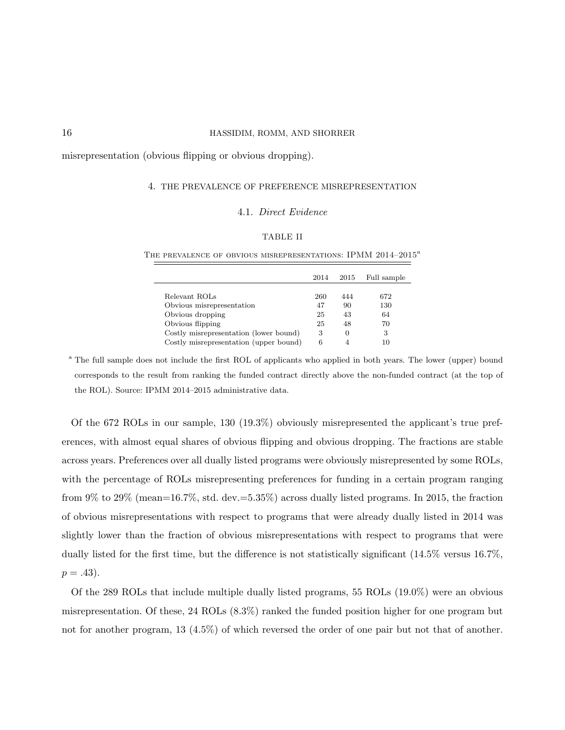misrepresentation (obvious flipping or obvious dropping).

#### 4. THE PREVALENCE OF PREFERENCE MISREPRESENTATION

### 4.1. Direct Evidence

#### TABLE II

THE PREVALENCE OF OBVIOUS MISREPRESENTATIONS: IPMM  $2014-2015^a$ 

|                                        | 2014 | 2015 | Full sample |
|----------------------------------------|------|------|-------------|
| Relevant ROLs                          | 260  | 444  | 672         |
| Obvious misrepresentation              | 47   | 90   | 130         |
| Obvious dropping                       | 25   | 43   | 64          |
| Obvious flipping                       | 25   | 48   | 70          |
| Costly misrepresentation (lower bound) | 3    | 0    | 3           |
| Costly misrepresentation (upper bound) | 6    | 4    | 10          |

<sup>a</sup> The full sample does not include the first ROL of applicants who applied in both years. The lower (upper) bound corresponds to the result from ranking the funded contract directly above the non-funded contract (at the top of the ROL). Source: IPMM 2014–2015 administrative data.

Of the 672 ROLs in our sample, 130 (19.3%) obviously misrepresented the applicant's true preferences, with almost equal shares of obvious flipping and obvious dropping. The fractions are stable across years. Preferences over all dually listed programs were obviously misrepresented by some ROLs, with the percentage of ROLs misrepresenting preferences for funding in a certain program ranging from 9% to 29% (mean=16.7%, std. dev.=5.35%) across dually listed programs. In 2015, the fraction of obvious misrepresentations with respect to programs that were already dually listed in 2014 was slightly lower than the fraction of obvious misrepresentations with respect to programs that were dually listed for the first time, but the difference is not statistically significant (14.5% versus 16.7%,  $p = .43$ .

Of the 289 ROLs that include multiple dually listed programs, 55 ROLs (19.0%) were an obvious misrepresentation. Of these, 24 ROLs (8.3%) ranked the funded position higher for one program but not for another program, 13 (4.5%) of which reversed the order of one pair but not that of another.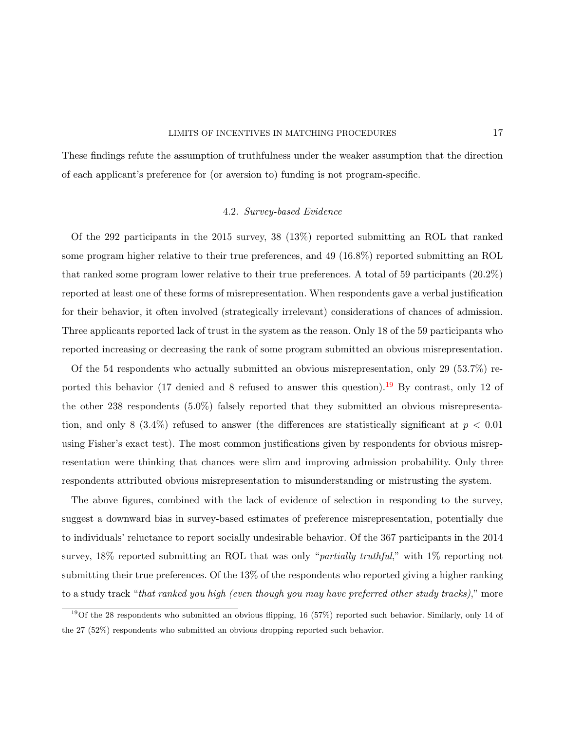These findings refute the assumption of truthfulness under the weaker assumption that the direction of each applicant's preference for (or aversion to) funding is not program-specific.

### 4.2. Survey-based Evidence

Of the 292 participants in the 2015 survey, 38 (13%) reported submitting an ROL that ranked some program higher relative to their true preferences, and 49 (16.8%) reported submitting an ROL that ranked some program lower relative to their true preferences. A total of 59 participants (20.2%) reported at least one of these forms of misrepresentation. When respondents gave a verbal justification for their behavior, it often involved (strategically irrelevant) considerations of chances of admission. Three applicants reported lack of trust in the system as the reason. Only 18 of the 59 participants who reported increasing or decreasing the rank of some program submitted an obvious misrepresentation.

Of the 54 respondents who actually submitted an obvious misrepresentation, only 29 (53.7%) re-ported this behavior (17 denied and 8 refused to answer this question).<sup>[19](#page-16-0)</sup> By contrast, only 12 of the other 238 respondents (5.0%) falsely reported that they submitted an obvious misrepresentation, and only 8 (3.4%) refused to answer (the differences are statistically significant at  $p < 0.01$ using Fisher's exact test). The most common justifications given by respondents for obvious misrepresentation were thinking that chances were slim and improving admission probability. Only three respondents attributed obvious misrepresentation to misunderstanding or mistrusting the system.

The above figures, combined with the lack of evidence of selection in responding to the survey, suggest a downward bias in survey-based estimates of preference misrepresentation, potentially due to individuals' reluctance to report socially undesirable behavior. Of the 367 participants in the 2014 survey, 18% reported submitting an ROL that was only "*partially truthful*," with 1% reporting not submitting their true preferences. Of the 13% of the respondents who reported giving a higher ranking to a study track "that ranked you high (even though you may have preferred other study tracks)," more

<span id="page-16-0"></span><sup>&</sup>lt;sup>19</sup>Of the 28 respondents who submitted an obvious flipping, 16 (57%) reported such behavior. Similarly, only 14 of the 27 (52%) respondents who submitted an obvious dropping reported such behavior.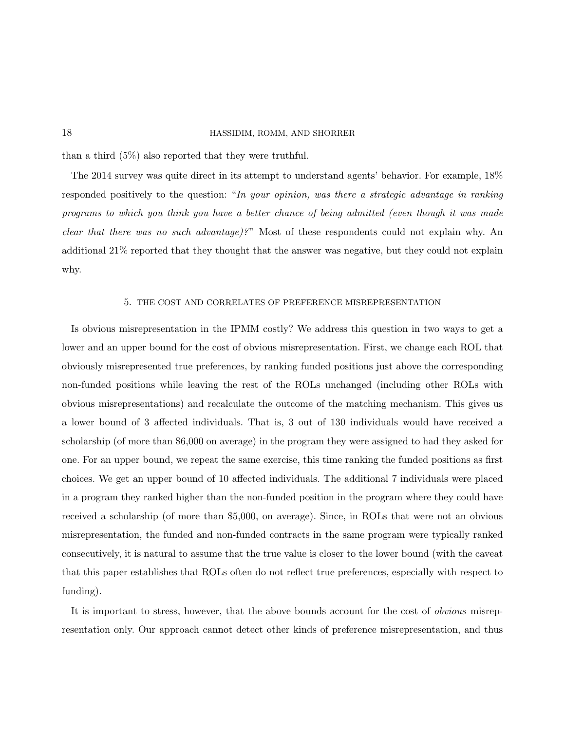than a third (5%) also reported that they were truthful.

The 2014 survey was quite direct in its attempt to understand agents' behavior. For example, 18% responded positively to the question: "In your opinion, was there a strategic advantage in ranking programs to which you think you have a better chance of being admitted (even though it was made clear that there was no such advantage)?" Most of these respondents could not explain why. An additional 21% reported that they thought that the answer was negative, but they could not explain why.

#### 5. THE COST AND CORRELATES OF PREFERENCE MISREPRESENTATION

Is obvious misrepresentation in the IPMM costly? We address this question in two ways to get a lower and an upper bound for the cost of obvious misrepresentation. First, we change each ROL that obviously misrepresented true preferences, by ranking funded positions just above the corresponding non-funded positions while leaving the rest of the ROLs unchanged (including other ROLs with obvious misrepresentations) and recalculate the outcome of the matching mechanism. This gives us a lower bound of 3 affected individuals. That is, 3 out of 130 individuals would have received a scholarship (of more than \$6,000 on average) in the program they were assigned to had they asked for one. For an upper bound, we repeat the same exercise, this time ranking the funded positions as first choices. We get an upper bound of 10 affected individuals. The additional 7 individuals were placed in a program they ranked higher than the non-funded position in the program where they could have received a scholarship (of more than \$5,000, on average). Since, in ROLs that were not an obvious misrepresentation, the funded and non-funded contracts in the same program were typically ranked consecutively, it is natural to assume that the true value is closer to the lower bound (with the caveat that this paper establishes that ROLs often do not reflect true preferences, especially with respect to funding).

It is important to stress, however, that the above bounds account for the cost of *obvious* misrepresentation only. Our approach cannot detect other kinds of preference misrepresentation, and thus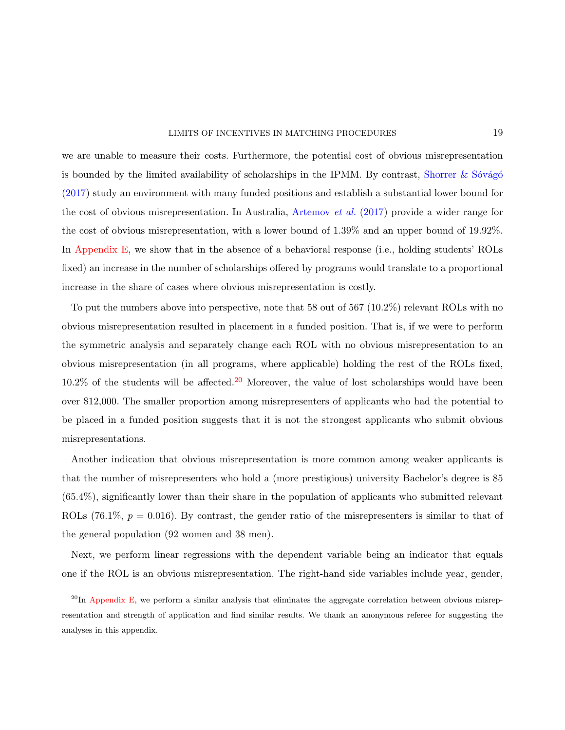we are unable to measure their costs. Furthermore, the potential cost of obvious misrepresentation is bounded by the limited availability of scholarships in the IPMM. By contrast, Shorrer  $\&$  Sóvágó [\(2017\)](#page-28-2) study an environment with many funded positions and establish a substantial lower bound for the cost of obvious misrepresentation. In Australia, [Artemov](#page-25-0) *et al.* [\(2017\)](#page-25-0) provide a wider range for the cost of obvious misrepresentation, with a lower bound of 1.39% and an upper bound of 19.92%. In [Appendix E,](#page-40-0) we show that in the absence of a behavioral response (i.e., holding students' ROLs fixed) an increase in the number of scholarships offered by programs would translate to a proportional increase in the share of cases where obvious misrepresentation is costly.

To put the numbers above into perspective, note that 58 out of 567 (10.2%) relevant ROLs with no obvious misrepresentation resulted in placement in a funded position. That is, if we were to perform the symmetric analysis and separately change each ROL with no obvious misrepresentation to an obvious misrepresentation (in all programs, where applicable) holding the rest of the ROLs fixed,  $10.2\%$  of the students will be affected.<sup>[20](#page-18-0)</sup> Moreover, the value of lost scholarships would have been over \$12,000. The smaller proportion among misrepresenters of applicants who had the potential to be placed in a funded position suggests that it is not the strongest applicants who submit obvious misrepresentations.

Another indication that obvious misrepresentation is more common among weaker applicants is that the number of misrepresenters who hold a (more prestigious) university Bachelor's degree is 85 (65.4%), significantly lower than their share in the population of applicants who submitted relevant ROLs (76.1\%,  $p = 0.016$ ). By contrast, the gender ratio of the misrepresenters is similar to that of the general population (92 women and 38 men).

Next, we perform linear regressions with the dependent variable being an indicator that equals one if the ROL is an obvious misrepresentation. The right-hand side variables include year, gender,

<span id="page-18-0"></span> $^{20}$ In [Appendix E,](#page-40-0) we perform a similar analysis that eliminates the aggregate correlation between obvious misrepresentation and strength of application and find similar results. We thank an anonymous referee for suggesting the analyses in this appendix.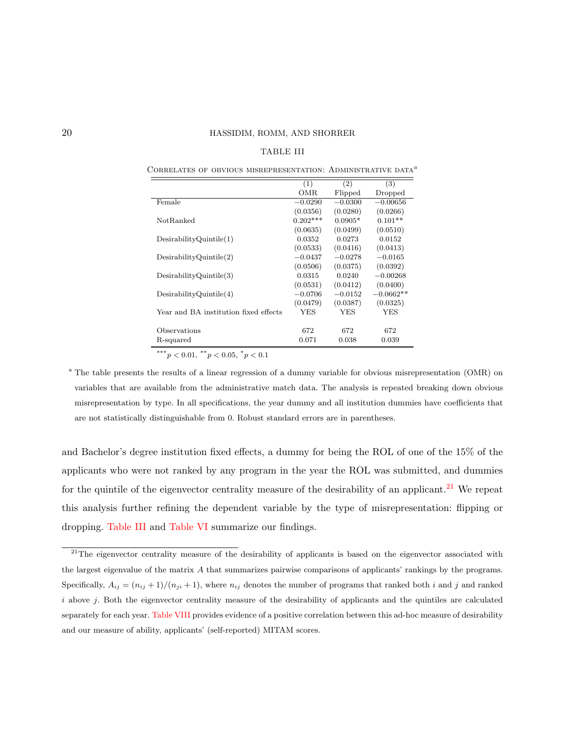## TABLE III

<span id="page-19-1"></span>CORRELATES OF OBVIOUS MISREPRESENTATION: ADMINISTRATIVE DATA<sup>a</sup>

|                                       | (1)        | (2)       | (3)         |
|---------------------------------------|------------|-----------|-------------|
|                                       | OMR        | Flipped   | Dropped     |
| Female                                | $-0.0290$  | $-0.0300$ | $-0.00656$  |
|                                       | (0.0356)   | (0.0280)  | (0.0266)    |
| NotRanked                             | $0.202***$ | $0.0905*$ | $0.101**$   |
|                                       | (0.0635)   | (0.0499)  | (0.0510)    |
| DesirabilityQuintile(1)               | 0.0352     | 0.0273    | 0.0152      |
|                                       | (0.0533)   | (0.0416)  | (0.0413)    |
| DesirabilityQuintile(2)               | $-0.0437$  | $-0.0278$ | $-0.0165$   |
|                                       | (0.0506)   | (0.0375)  | (0.0392)    |
| DesirabilityQuintile(3)               | 0.0315     | 0.0240    | $-0.00268$  |
|                                       | (0.0531)   | (0.0412)  | (0.0400)    |
| DesirabilityQuintile(4)               | $-0.0706$  | $-0.0152$ | $-0.0662**$ |
|                                       | (0.0479)   | (0.0387)  | (0.0325)    |
| Year and BA institution fixed effects | YES        | YES       | YES         |
|                                       |            |           |             |
| Observations                          | 672        | 672       | 672         |
| R-squared                             | 0.071      | 0.038     | 0.039       |

\*\*\* $p < 0.01,$ \*\* $p < 0.05,$ \* $p < 0.1$ 

<sup>a</sup> The table presents the results of a linear regression of a dummy variable for obvious misrepresentation (OMR) on variables that are available from the administrative match data. The analysis is repeated breaking down obvious misrepresentation by type. In all specifications, the year dummy and all institution dummies have coefficients that are not statistically distinguishable from 0. Robust standard errors are in parentheses.

and Bachelor's degree institution fixed effects, a dummy for being the ROL of one of the 15% of the applicants who were not ranked by any program in the year the ROL was submitted, and dummies for the quintile of the eigenvector centrality measure of the desirability of an applicant.<sup>[21](#page-19-0)</sup> We repeat this analysis further refining the dependent variable by the type of misrepresentation: flipping or dropping. [Table III](#page-19-1) and [Table VI](#page-31-0) summarize our findings.

<span id="page-19-0"></span> $^{21}$ The eigenvector centrality measure of the desirability of applicants is based on the eigenvector associated with the largest eigenvalue of the matrix A that summarizes pairwise comparisons of applicants' rankings by the programs. Specifically,  $A_{ij} = (n_{ij} + 1)/(n_{ji} + 1)$ , where  $n_{ij}$  denotes the number of programs that ranked both i and j and ranked  $i$  above  $j$ . Both the eigenvector centrality measure of the desirability of applicants and the quintiles are calculated separately for each year. [Table VIII](#page-33-0) provides evidence of a positive correlation between this ad-hoc measure of desirability and our measure of ability, applicants' (self-reported) MITAM scores.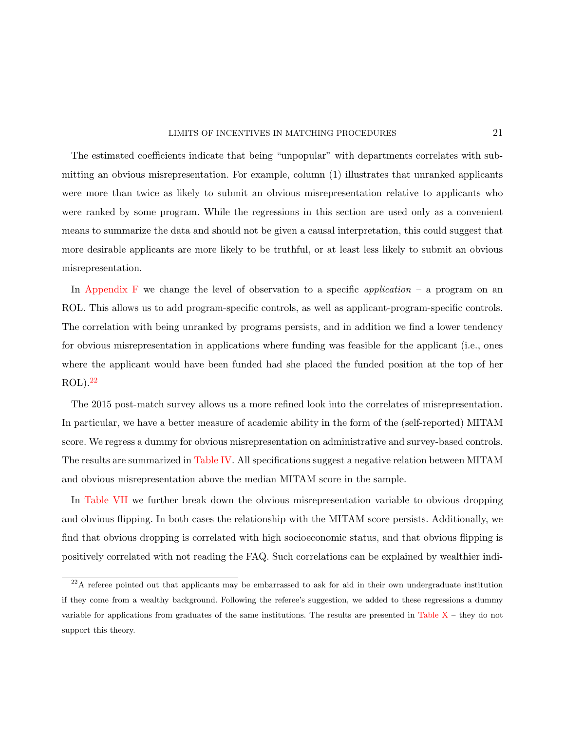The estimated coefficients indicate that being "unpopular" with departments correlates with submitting an obvious misrepresentation. For example, column (1) illustrates that unranked applicants were more than twice as likely to submit an obvious misrepresentation relative to applicants who were ranked by some program. While the regressions in this section are used only as a convenient means to summarize the data and should not be given a causal interpretation, this could suggest that more desirable applicants are more likely to be truthful, or at least less likely to submit an obvious misrepresentation.

In [Appendix F](#page-43-0) we change the level of observation to a specific *application* – a program on an ROL. This allows us to add program-specific controls, as well as applicant-program-specific controls. The correlation with being unranked by programs persists, and in addition we find a lower tendency for obvious misrepresentation in applications where funding was feasible for the applicant (i.e., ones where the applicant would have been funded had she placed the funded position at the top of her  $ROL$ ).<sup>[22](#page-20-0)</sup>

The 2015 post-match survey allows us a more refined look into the correlates of misrepresentation. In particular, we have a better measure of academic ability in the form of the (self-reported) MITAM score. We regress a dummy for obvious misrepresentation on administrative and survey-based controls. The results are summarized in [Table IV.](#page-21-0) All specifications suggest a negative relation between MITAM and obvious misrepresentation above the median MITAM score in the sample.

In [Table VII](#page-32-0) we further break down the obvious misrepresentation variable to obvious dropping and obvious flipping. In both cases the relationship with the MITAM score persists. Additionally, we find that obvious dropping is correlated with high socioeconomic status, and that obvious flipping is positively correlated with not reading the FAQ. Such correlations can be explained by wealthier indi-

<span id="page-20-0"></span> $^{22}$ A referee pointed out that applicants may be embarrassed to ask for aid in their own undergraduate institution if they come from a wealthy background. Following the referee's suggestion, we added to these regressions a dummy variable for applications from graduates of the same institutions. The results are presented in Table  $X -$  they do not support this theory.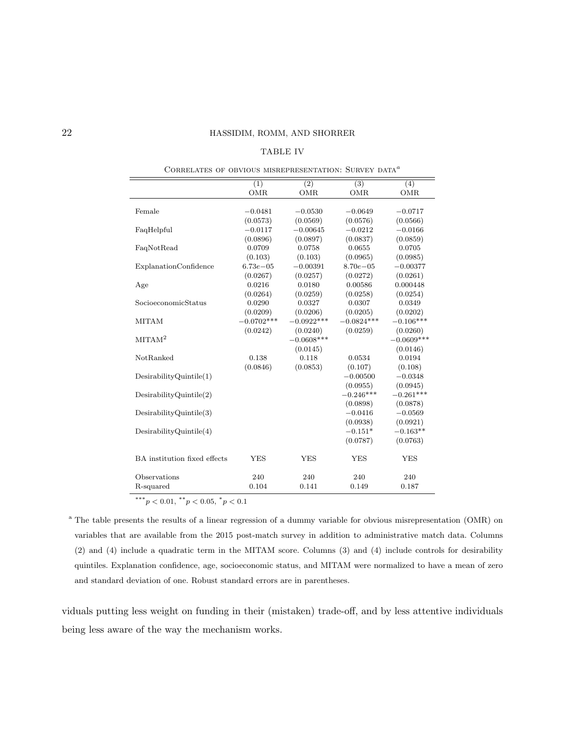## <span id="page-21-1"></span>TABLE IV

<span id="page-21-0"></span>

| CORRELATES OF ODVIOUS MISREFRESENTATION. DURVET DATA |              |              |              |              |
|------------------------------------------------------|--------------|--------------|--------------|--------------|
|                                                      | (1)          | (2)          | (3)          | (4)          |
|                                                      | OMR          | OMR          | OMR          | OMR          |
|                                                      |              |              |              |              |
| Female                                               | $-0.0481$    | $-0.0530$    | $-0.0649$    | $-0.0717$    |
|                                                      | (0.0573)     | (0.0569)     | (0.0576)     | (0.0566)     |
| FaqHelpful                                           | $-0.0117$    | $-0.00645$   | $-0.0212$    | $-0.0166$    |
|                                                      | (0.0896)     | (0.0897)     | (0.0837)     | (0.0859)     |
| FaqNotRead                                           | 0.0709       | 0.0758       | 0.0655       | 0.0705       |
|                                                      | (0.103)      | (0.103)      | (0.0965)     | (0.0985)     |
| <b>ExplanationConfidence</b>                         | $6.73e - 05$ | $-0.00391$   | $8.70e - 05$ | $-0.00377$   |
|                                                      | (0.0267)     | (0.0257)     | (0.0272)     | (0.0261)     |
| Age                                                  | 0.0216       | 0.0180       | 0.00586      | 0.000448     |
|                                                      | (0.0264)     | (0.0259)     | (0.0258)     | (0.0254)     |
| SocioeconomicStatus                                  | 0.0290       | 0.0327       | 0.0307       | 0.0349       |
|                                                      | (0.0209)     | (0.0206)     | (0.0205)     | (0.0202)     |
| <b>MITAM</b>                                         | $-0.0702***$ | $-0.0922***$ | $-0.0824***$ | $-0.106***$  |
|                                                      | (0.0242)     | (0.0240)     | (0.0259)     | (0.0260)     |
| MITAM <sup>2</sup>                                   |              | $-0.0608***$ |              | $-0.0609***$ |
|                                                      |              | (0.0145)     |              | (0.0146)     |
| NotRanked                                            | 0.138        | 0.118        | 0.0534       | 0.0194       |
|                                                      | (0.0846)     | (0.0853)     | (0.107)      | (0.108)      |
| DesirabilityQuintile(1)                              |              |              | $-0.00500$   | $-0.0348$    |
|                                                      |              |              | (0.0955)     | (0.0945)     |
| DesirabilityQuintile(2)                              |              |              | $-0.246***$  | $-0.261***$  |
|                                                      |              |              | (0.0898)     | (0.0878)     |
| DesirabilityQuintile(3)                              |              |              | $-0.0416$    | $-0.0569$    |
|                                                      |              |              | (0.0938)     | (0.0921)     |
| DesirabilityQuintile(4)                              |              |              | $-0.151*$    | $-0.163**$   |
|                                                      |              |              | (0.0787)     | (0.0763)     |
| BA institution fixed effects                         | <b>YES</b>   | <b>YES</b>   | <b>YES</b>   | <b>YES</b>   |
|                                                      |              |              |              |              |
| Observations                                         | 240          | 240          | 240          | 240          |
| R-squared                                            | 0.104        | 0.141        | 0.149        | 0.187        |
|                                                      |              |              |              |              |

CORRELATES OF OBVIOUS MISREPRESENTATION: SURVEY DATA<sup> $a$ </sup>

\*\*\*\*p < 0.01, \*\*p < 0.05, \*p < 0.1

<sup>a</sup> The table presents the results of a linear regression of a dummy variable for obvious misrepresentation (OMR) on variables that are available from the 2015 post-match survey in addition to administrative match data. Columns (2) and (4) include a quadratic term in the MITAM score. Columns (3) and (4) include controls for desirability quintiles. Explanation confidence, age, socioeconomic status, and MITAM were normalized to have a mean of zero and standard deviation of one. Robust standard errors are in parentheses.

viduals putting less weight on funding in their (mistaken) trade-off, and by less attentive individuals being less aware of the way the mechanism works.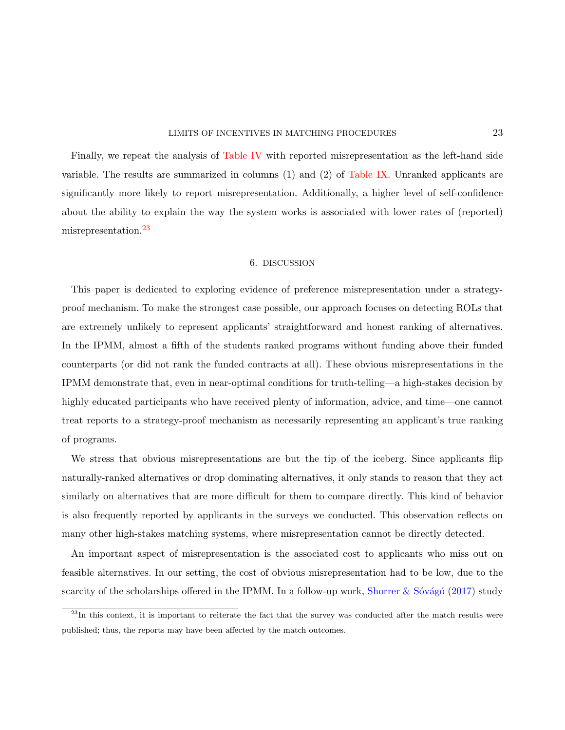Finally, we repeat the analysis of [Table IV](#page-21-0) with reported misrepresentation as the left-hand side variable. The results are summarized in columns (1) and (2) of [Table IX.](#page-34-0) Unranked applicants are significantly more likely to report misrepresentation. Additionally, a higher level of self-confidence about the ability to explain the way the system works is associated with lower rates of (reported) misrepresentation.<sup>[23](#page-22-1)</sup>

### 6. DISCUSSION

<span id="page-22-0"></span>This paper is dedicated to exploring evidence of preference misrepresentation under a strategyproof mechanism. To make the strongest case possible, our approach focuses on detecting ROLs that are extremely unlikely to represent applicants' straightforward and honest ranking of alternatives. In the IPMM, almost a fifth of the students ranked programs without funding above their funded counterparts (or did not rank the funded contracts at all). These obvious misrepresentations in the IPMM demonstrate that, even in near-optimal conditions for truth-telling—a high-stakes decision by highly educated participants who have received plenty of information, advice, and time—one cannot treat reports to a strategy-proof mechanism as necessarily representing an applicant's true ranking of programs.

We stress that obvious misrepresentations are but the tip of the iceberg. Since applicants flip naturally-ranked alternatives or drop dominating alternatives, it only stands to reason that they act similarly on alternatives that are more difficult for them to compare directly. This kind of behavior is also frequently reported by applicants in the surveys we conducted. This observation reflects on many other high-stakes matching systems, where misrepresentation cannot be directly detected.

An important aspect of misrepresentation is the associated cost to applicants who miss out on feasible alternatives. In our setting, the cost of obvious misrepresentation had to be low, due to the scarcity of the scholarships offered in the IPMM. In a follow-up work, Shorrer & Sóvágó [\(2017\)](#page-28-2) study

<span id="page-22-1"></span> $^{23}$ In this context, it is important to reiterate the fact that the survey was conducted after the match results were published; thus, the reports may have been affected by the match outcomes.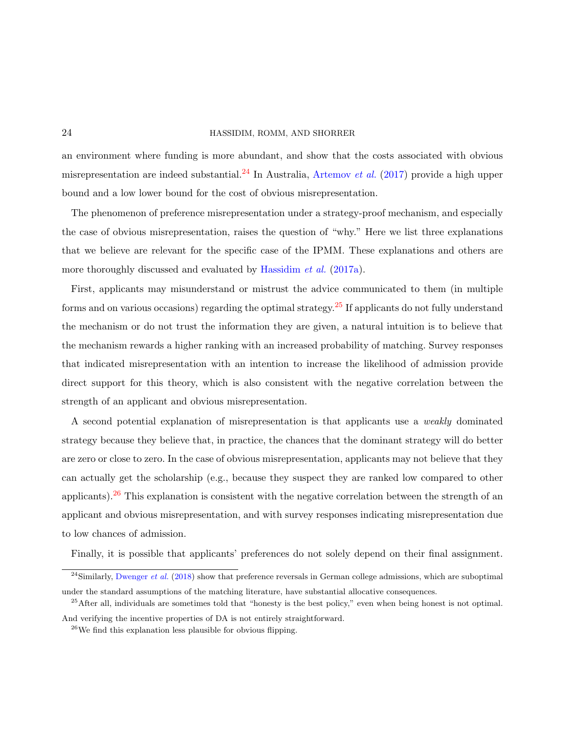an environment where funding is more abundant, and show that the costs associated with obvious misrepresentation are indeed substantial.<sup>[24](#page-23-0)</sup> In Australia, [Artemov](#page-25-0) *et al.* [\(2017\)](#page-25-0) provide a high upper bound and a low lower bound for the cost of obvious misrepresentation.

The phenomenon of preference misrepresentation under a strategy-proof mechanism, and especially the case of obvious misrepresentation, raises the question of "why." Here we list three explanations that we believe are relevant for the specific case of the IPMM. These explanations and others are more thoroughly discussed and evaluated by [Hassidim](#page-27-10) *et al.* [\(2017a\)](#page-27-10).

First, applicants may misunderstand or mistrust the advice communicated to them (in multiple forms and on various occasions) regarding the optimal strategy.<sup>[25](#page-23-1)</sup> If applicants do not fully understand the mechanism or do not trust the information they are given, a natural intuition is to believe that the mechanism rewards a higher ranking with an increased probability of matching. Survey responses that indicated misrepresentation with an intention to increase the likelihood of admission provide direct support for this theory, which is also consistent with the negative correlation between the strength of an applicant and obvious misrepresentation.

A second potential explanation of misrepresentation is that applicants use a weakly dominated strategy because they believe that, in practice, the chances that the dominant strategy will do better are zero or close to zero. In the case of obvious misrepresentation, applicants may not believe that they can actually get the scholarship (e.g., because they suspect they are ranked low compared to other applicants).<sup>[26](#page-23-2)</sup> This explanation is consistent with the negative correlation between the strength of an applicant and obvious misrepresentation, and with survey responses indicating misrepresentation due to low chances of admission.

<span id="page-23-0"></span>Finally, it is possible that applicants' preferences do not solely depend on their final assignment.

<sup>&</sup>lt;sup>24</sup>Similarly, [Dwenger](#page-26-15) et al. [\(2018\)](#page-26-15) show that preference reversals in German college admissions, which are suboptimal under the standard assumptions of the matching literature, have substantial allocative consequences.

<span id="page-23-1"></span> $^{25}$ After all, individuals are sometimes told that "honesty is the best policy," even when being honest is not optimal.

And verifying the incentive properties of DA is not entirely straightforward.

<span id="page-23-2"></span> $^{26}$ We find this explanation less plausible for obvious flipping.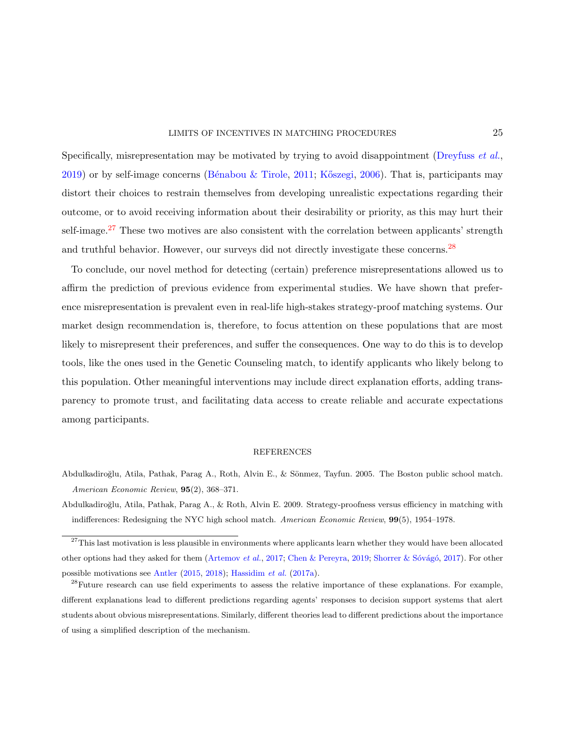Specifically, misrepresentation may be motivated by trying to avoid disappointment [\(Dreyfuss](#page-26-3) et al.,  $2019$ ) or by self-image concerns (Bénabou & Tirole, [2011;](#page-25-13) Kőszegi, [2006\)](#page-27-15). That is, participants may distort their choices to restrain themselves from developing unrealistic expectations regarding their outcome, or to avoid receiving information about their desirability or priority, as this may hurt their self-image.<sup>[27](#page-24-2)</sup> These two motives are also consistent with the correlation between applicants' strength and truthful behavior. However, our surveys did not directly investigate these concerns.<sup>[28](#page-24-3)</sup>

To conclude, our novel method for detecting (certain) preference misrepresentations allowed us to affirm the prediction of previous evidence from experimental studies. We have shown that preference misrepresentation is prevalent even in real-life high-stakes strategy-proof matching systems. Our market design recommendation is, therefore, to focus attention on these populations that are most likely to misrepresent their preferences, and suffer the consequences. One way to do this is to develop tools, like the ones used in the Genetic Counseling match, to identify applicants who likely belong to this population. Other meaningful interventions may include direct explanation efforts, adding transparency to promote trust, and facilitating data access to create reliable and accurate expectations among participants.

#### REFERENCES

- <span id="page-24-0"></span>Abdulkadiroğlu, Atila, Pathak, Parag A., Roth, Alvin E., & Sönmez, Tayfun. 2005. The Boston public school match. American Economic Review, 95(2), 368–371.
- <span id="page-24-1"></span>Abdulkadiro˘glu, Atila, Pathak, Parag A., & Roth, Alvin E. 2009. Strategy-proofness versus efficiency in matching with indifferences: Redesigning the NYC high school match. American Economic Review, 99(5), 1954–1978.

<span id="page-24-2"></span> $27$ This last motivation is less plausible in environments where applicants learn whether they would have been allocated other options had they asked for them [\(Artemov](#page-25-0) et al., [2017;](#page-25-0) [Chen & Pereyra,](#page-26-2) [2019;](#page-26-2) Shorrer & Sóvágó, [2017\)](#page-28-2). For other possible motivations see [Antler](#page-25-14) [\(2015,](#page-25-14) [2018\)](#page-25-15); [Hassidim](#page-27-10) et al. [\(2017a\)](#page-27-10).

<span id="page-24-3"></span><sup>&</sup>lt;sup>28</sup>Future research can use field experiments to assess the relative importance of these explanations. For example, different explanations lead to different predictions regarding agents' responses to decision support systems that alert students about obvious misrepresentations. Similarly, different theories lead to different predictions about the importance of using a simplified description of the mechanism.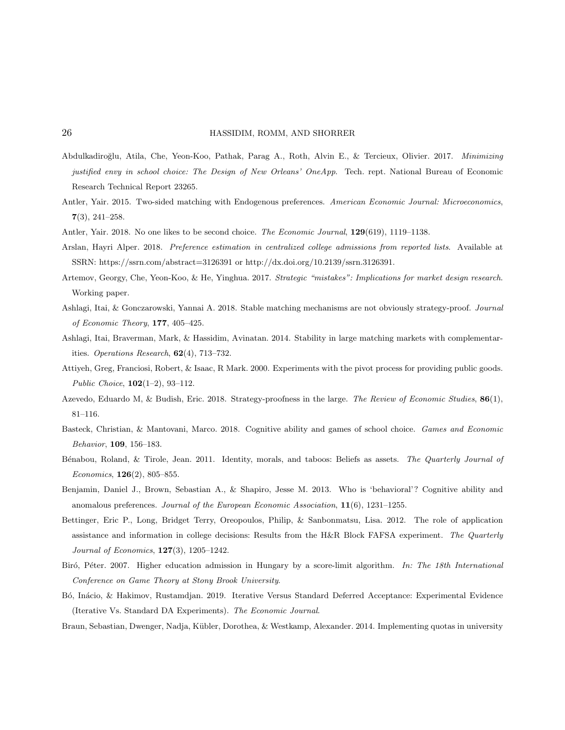- <span id="page-25-6"></span>Abdulkadiroğlu, Atila, Che, Yeon-Koo, Pathak, Parag A., Roth, Alvin E., & Tercieux, Olivier. 2017. Minimizing justified envy in school choice: The Design of New Orleans' OneApp. Tech. rept. National Bureau of Economic Research Technical Report 23265.
- <span id="page-25-14"></span>Antler, Yair. 2015. Two-sided matching with Endogenous preferences. American Economic Journal: Microeconomics, 7(3), 241–258.
- <span id="page-25-15"></span><span id="page-25-3"></span>Antler, Yair. 2018. No one likes to be second choice. The Economic Journal, 129(619), 1119–1138.
- Arslan, Hayri Alper. 2018. Preference estimation in centralized college admissions from reported lists. Available at SSRN: https://ssrn.com/abstract=3126391 or http://dx.doi.org/10.2139/ssrn.3126391.
- <span id="page-25-0"></span>Artemov, Georgy, Che, Yeon-Koo, & He, Yinghua. 2017. Strategic "mistakes": Implications for market design research. Working paper.
- <span id="page-25-11"></span>Ashlagi, Itai, & Gonczarowski, Yannai A. 2018. Stable matching mechanisms are not obviously strategy-proof. Journal of Economic Theory, 177, 405–425.
- <span id="page-25-12"></span>Ashlagi, Itai, Braverman, Mark, & Hassidim, Avinatan. 2014. Stability in large matching markets with complementarities. Operations Research,  $62(4)$ , 713–732.
- <span id="page-25-9"></span>Attiyeh, Greg, Franciosi, Robert, & Isaac, R Mark. 2000. Experiments with the pivot process for providing public goods. Public Choice,  $102(1-2)$ , 93-112.
- <span id="page-25-2"></span>Azevedo, Eduardo M, & Budish, Eric. 2018. Strategy-proofness in the large. The Review of Economic Studies, 86(1), 81–116.
- <span id="page-25-5"></span>Basteck, Christian, & Mantovani, Marco. 2018. Cognitive ability and games of school choice. Games and Economic Behavior, 109, 156–183.
- <span id="page-25-13"></span>Bénabou, Roland, & Tirole, Jean. 2011. Identity, morals, and taboos: Beliefs as assets. The Quarterly Journal of Economics, 126(2), 805–855.
- <span id="page-25-4"></span>Benjamin, Daniel J., Brown, Sebastian A., & Shapiro, Jesse M. 2013. Who is 'behavioral'? Cognitive ability and anomalous preferences. Journal of the European Economic Association, 11(6), 1231–1255.
- <span id="page-25-7"></span>Bettinger, Eric P., Long, Bridget Terry, Oreopoulos, Philip, & Sanbonmatsu, Lisa. 2012. The role of application assistance and information in college decisions: Results from the H&R Block FAFSA experiment. The Quarterly Journal of Economics, 127(3), 1205–1242.
- <span id="page-25-1"></span>Biró, Péter. 2007. Higher education admission in Hungary by a score-limit algorithm. In: The 18th International Conference on Game Theory at Stony Brook University.
- <span id="page-25-10"></span>Bó, Inácio, & Hakimov, Rustamdjan. 2019. Iterative Versus Standard Deferred Acceptance: Experimental Evidence (Iterative Vs. Standard DA Experiments). The Economic Journal.
- <span id="page-25-8"></span>Braun, Sebastian, Dwenger, Nadja, K¨ubler, Dorothea, & Westkamp, Alexander. 2014. Implementing quotas in university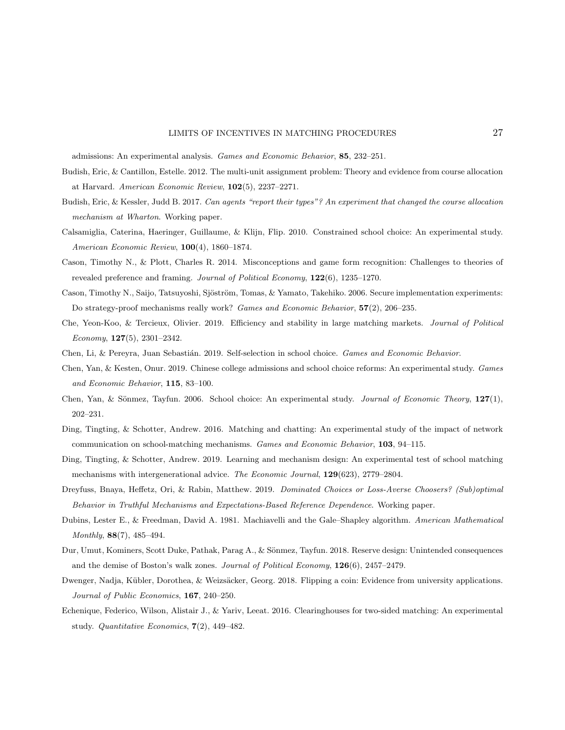admissions: An experimental analysis. Games and Economic Behavior, 85, 232–251.

- <span id="page-26-6"></span>Budish, Eric, & Cantillon, Estelle. 2012. The multi-unit assignment problem: Theory and evidence from course allocation at Harvard. American Economic Review, 102(5), 2237–2271.
- <span id="page-26-8"></span>Budish, Eric, & Kessler, Judd B. 2017. Can agents "report their types"? An experiment that changed the course allocation mechanism at Wharton. Working paper.
- <span id="page-26-9"></span>Calsamiglia, Caterina, Haeringer, Guillaume, & Klijn, Flip. 2010. Constrained school choice: An experimental study. American Economic Review, 100(4), 1860–1874.
- <span id="page-26-1"></span>Cason, Timothy N., & Plott, Charles R. 2014. Misconceptions and game form recognition: Challenges to theories of revealed preference and framing. Journal of Political Economy,  $122(6)$ , 1235–1270.
- <span id="page-26-14"></span>Cason, Timothy N., Saijo, Tatsuyoshi, Sjöström, Tomas, & Yamato, Takehiko. 2006. Secure implementation experiments: Do strategy-proof mechanisms really work? Games and Economic Behavior, 57(2), 206–235.
- <span id="page-26-5"></span>Che, Yeon-Koo, & Tercieux, Olivier. 2019. Efficiency and stability in large matching markets. Journal of Political  $Economy, 127(5), 2301-2342.$
- <span id="page-26-10"></span><span id="page-26-2"></span>Chen, Li, & Pereyra, Juan Sebastián. 2019. Self-selection in school choice. Games and Economic Behavior.
- Chen, Yan, & Kesten, Onur. 2019. Chinese college admissions and school choice reforms: An experimental study. Games and Economic Behavior, 115, 83–100.
- <span id="page-26-7"></span>Chen, Yan, & Sönmez, Tayfun. 2006. School choice: An experimental study. Journal of Economic Theory,  $127(1)$ , 202–231.
- <span id="page-26-11"></span>Ding, Tingting, & Schotter, Andrew. 2016. Matching and chatting: An experimental study of the impact of network communication on school-matching mechanisms. Games and Economic Behavior, 103, 94–115.
- <span id="page-26-12"></span>Ding, Tingting, & Schotter, Andrew. 2019. Learning and mechanism design: An experimental test of school matching mechanisms with intergenerational advice. The Economic Journal, 129(623), 2779–2804.
- <span id="page-26-3"></span>Dreyfuss, Bnaya, Heffetz, Ori, & Rabin, Matthew. 2019. Dominated Choices or Loss-Averse Choosers? (Sub)optimal Behavior in Truthful Mechanisms and Expectations-Based Reference Dependence. Working paper.
- <span id="page-26-0"></span>Dubins, Lester E., & Freedman, David A. 1981. Machiavelli and the Gale–Shapley algorithm. American Mathematical Monthly, 88(7), 485–494.
- <span id="page-26-4"></span>Dur, Umut, Kominers, Scott Duke, Pathak, Parag A., & Sönmez, Tayfun. 2018. Reserve design: Unintended consequences and the demise of Boston's walk zones. Journal of Political Economy, 126(6), 2457–2479.
- <span id="page-26-15"></span>Dwenger, Nadja, Kübler, Dorothea, & Weizsäcker, Georg. 2018. Flipping a coin: Evidence from university applications. Journal of Public Economics, 167, 240–250.
- <span id="page-26-13"></span>Echenique, Federico, Wilson, Alistair J., & Yariv, Leeat. 2016. Clearinghouses for two-sided matching: An experimental study. Quantitative Economics, 7(2), 449–482.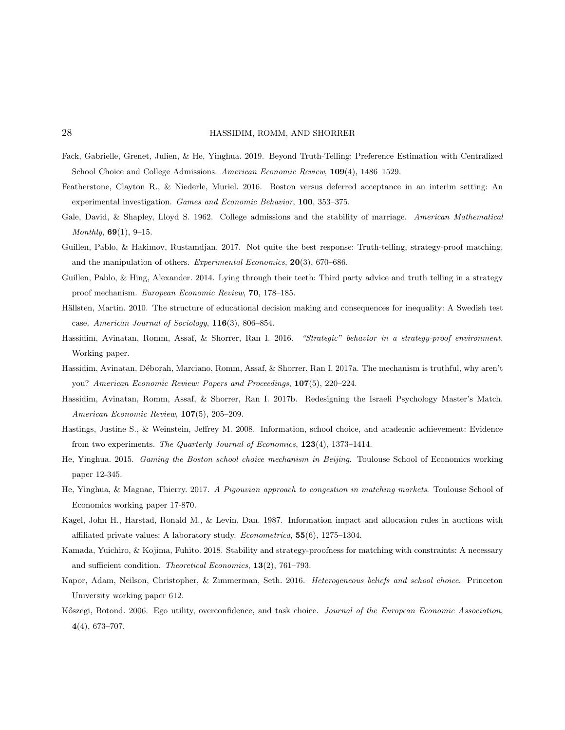- <span id="page-27-2"></span>Fack, Gabrielle, Grenet, Julien, & He, Yinghua. 2019. Beyond Truth-Telling: Preference Estimation with Centralized School Choice and College Admissions. American Economic Review, 109(4), 1486–1529.
- <span id="page-27-8"></span>Featherstone, Clayton R., & Niederle, Muriel. 2016. Boston versus deferred acceptance in an interim setting: An experimental investigation. Games and Economic Behavior, 100, 353–375.
- <span id="page-27-0"></span>Gale, David, & Shapley, Lloyd S. 1962. College admissions and the stability of marriage. American Mathematical Monthly, 69(1), 9–15.
- <span id="page-27-1"></span>Guillen, Pablo, & Hakimov, Rustamdjan. 2017. Not quite the best response: Truth-telling, strategy-proof matching, and the manipulation of others. Experimental Economics, 20(3), 670–686.
- <span id="page-27-9"></span>Guillen, Pablo, & Hing, Alexander. 2014. Lying through their teeth: Third party advice and truth telling in a strategy proof mechanism. European Economic Review, 70, 178–185.
- <span id="page-27-4"></span>Hällsten, Martin. 2010. The structure of educational decision making and consequences for inequality: A Swedish test case. American Journal of Sociology, 116(3), 806–854.
- <span id="page-27-11"></span>Hassidim, Avinatan, Romm, Assaf, & Shorrer, Ran I. 2016. "Strategic" behavior in a strategy-proof environment. Working paper.
- <span id="page-27-10"></span>Hassidim, Avinatan, Déborah, Marciano, Romm, Assaf, & Shorrer, Ran I. 2017a. The mechanism is truthful, why aren't you? American Economic Review: Papers and Proceedings, 107(5), 220–224.
- <span id="page-27-13"></span>Hassidim, Avinatan, Romm, Assaf, & Shorrer, Ran I. 2017b. Redesigning the Israeli Psychology Master's Match. American Economic Review, 107(5), 205–209.
- <span id="page-27-5"></span>Hastings, Justine S., & Weinstein, Jeffrey M. 2008. Information, school choice, and academic achievement: Evidence from two experiments. The Quarterly Journal of Economics, 123(4), 1373–1414.
- <span id="page-27-6"></span>He, Yinghua. 2015. Gaming the Boston school choice mechanism in Beijing. Toulouse School of Economics working paper 12-345.
- <span id="page-27-3"></span>He, Yinghua, & Magnac, Thierry. 2017. A Pigouvian approach to congestion in matching markets. Toulouse School of Economics working paper 17-870.
- <span id="page-27-12"></span>Kagel, John H., Harstad, Ronald M., & Levin, Dan. 1987. Information impact and allocation rules in auctions with affiliated private values: A laboratory study. Econometrica, 55(6), 1275–1304.
- <span id="page-27-14"></span>Kamada, Yuichiro, & Kojima, Fuhito. 2018. Stability and strategy-proofness for matching with constraints: A necessary and sufficient condition. Theoretical Economics, 13(2), 761–793.
- <span id="page-27-7"></span>Kapor, Adam, Neilson, Christopher, & Zimmerman, Seth. 2016. Heterogeneous beliefs and school choice. Princeton University working paper 612.
- <span id="page-27-15"></span>Kőszegi, Botond. 2006. Ego utility, overconfidence, and task choice. Journal of the European Economic Association, 4(4), 673–707.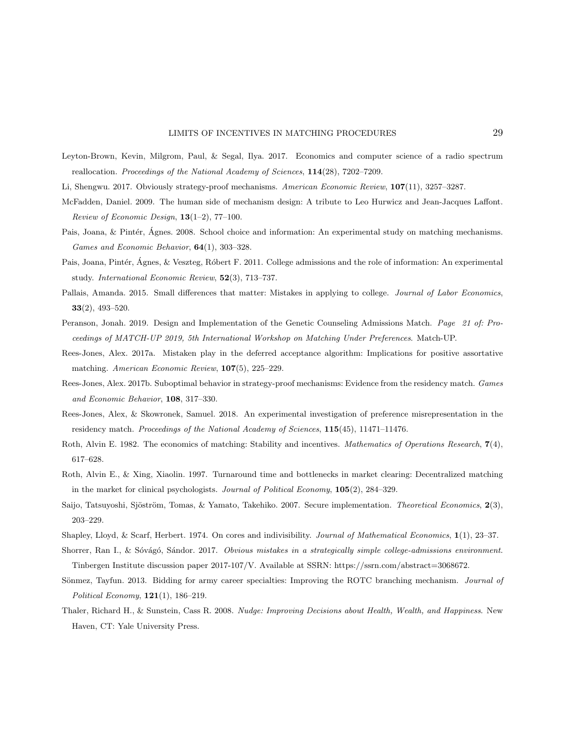- <span id="page-28-14"></span>Leyton-Brown, Kevin, Milgrom, Paul, & Segal, Ilya. 2017. Economics and computer science of a radio spectrum reallocation. Proceedings of the National Academy of Sciences, 114(28), 7202–7209.
- <span id="page-28-12"></span><span id="page-28-11"></span>Li, Shengwu. 2017. Obviously strategy-proof mechanisms. American Economic Review, 107(11), 3257-3287.
- McFadden, Daniel. 2009. The human side of mechanism design: A tribute to Leo Hurwicz and Jean-Jacques Laffont. Review of Economic Design,  $13(1-2)$ ,  $77-100$ .
- <span id="page-28-9"></span>Pais, Joana, & Pintér, Ágnes. 2008. School choice and information: An experimental study on matching mechanisms. Games and Economic Behavior, 64(1), 303–328.
- <span id="page-28-10"></span>Pais, Joana, Pintér, Ágnes, & Veszteg, Róbert F. 2011. College admissions and the role of information: An experimental study. International Economic Review, 52(3), 713–737.
- <span id="page-28-5"></span>Pallais, Amanda. 2015. Small differences that matter: Mistakes in applying to college. Journal of Labor Economics, 33(2), 493–520.
- <span id="page-28-3"></span>Peranson, Jonah. 2019. Design and Implementation of the Genetic Counseling Admissions Match. Page 21 of: Proceedings of MATCH-UP 2019, 5th International Workshop on Matching Under Preferences. Match-UP.
- <span id="page-28-4"></span>Rees-Jones, Alex. 2017a. Mistaken play in the deferred acceptance algorithm: Implications for positive assortative matching. American Economic Review, 107(5), 225–229.
- <span id="page-28-7"></span>Rees-Jones, Alex. 2017b. Suboptimal behavior in strategy-proof mechanisms: Evidence from the residency match. Games and Economic Behavior, 108, 317–330.
- <span id="page-28-8"></span>Rees-Jones, Alex, & Skowronek, Samuel. 2018. An experimental investigation of preference misrepresentation in the residency match. Proceedings of the National Academy of Sciences, 115(45), 11471-11476.
- <span id="page-28-1"></span>Roth, Alvin E. 1982. The economics of matching: Stability and incentives. Mathematics of Operations Research, 7(4), 617–628.
- <span id="page-28-15"></span>Roth, Alvin E., & Xing, Xiaolin. 1997. Turnaround time and bottlenecks in market clearing: Decentralized matching in the market for clinical psychologists. Journal of Political Economy, 105(2), 284–329.
- <span id="page-28-13"></span>Saijo, Tatsuyoshi, Sjöström, Tomas, & Yamato, Takehiko. 2007. Secure implementation. Theoretical Economics, 2(3), 203–229.
- <span id="page-28-6"></span><span id="page-28-2"></span>Shapley, Lloyd, & Scarf, Herbert. 1974. On cores and indivisibility. Journal of Mathematical Economics, 1(1), 23–37.
- Shorrer, Ran I., & Sóvágó, Sándor. 2017. Obvious mistakes in a strategically simple college-admissions environment. Tinbergen Institute discussion paper 2017-107/V. Available at SSRN: https://ssrn.com/abstract=3068672.
- <span id="page-28-16"></span>Sönmez, Tayfun. 2013. Bidding for army career specialties: Improving the ROTC branching mechanism. *Journal of* Political Economy, 121(1), 186–219.
- <span id="page-28-0"></span>Thaler, Richard H., & Sunstein, Cass R. 2008. Nudge: Improving Decisions about Health, Wealth, and Happiness. New Haven, CT: Yale University Press.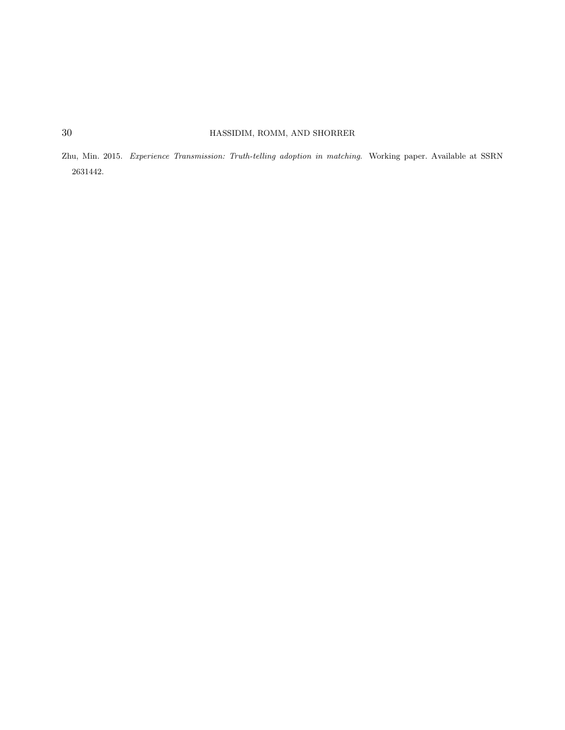<span id="page-29-0"></span>Zhu, Min. 2015. Experience Transmission: Truth-telling adoption in matching. Working paper. Available at SSRN 2631442.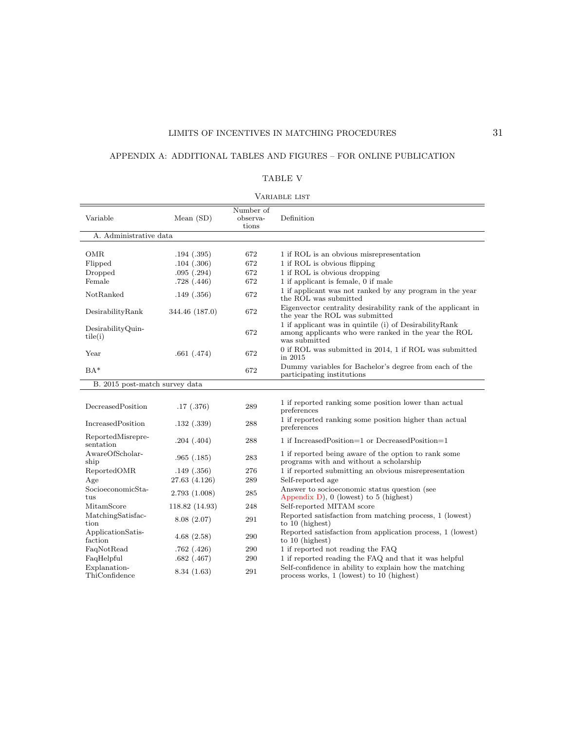### APPENDIX A: ADDITIONAL TABLES AND FIGURES – FOR ONLINE PUBLICATION

### TABLE V

### Variable list

<span id="page-30-0"></span>

| Variable                       | Mean $(SD)$    | Number of<br>observa-<br>tions | Definition                                                                                                                      |
|--------------------------------|----------------|--------------------------------|---------------------------------------------------------------------------------------------------------------------------------|
| A. Administrative data         |                |                                |                                                                                                                                 |
|                                |                |                                |                                                                                                                                 |
| <b>OMR</b>                     | .194(.395)     | 672                            | 1 if ROL is an obvious misrepresentation                                                                                        |
| Flipped                        | .104(.306)     | 672                            | 1 if ROL is obvious flipping                                                                                                    |
| Dropped                        | .095(.294)     | 672                            | 1 if ROL is obvious dropping                                                                                                    |
| Female                         | .728(.446)     | 672                            | 1 if applicant is female, 0 if male                                                                                             |
| NotRanked                      | .149(.356)     | 672                            | 1 if applicant was not ranked by any program in the year<br>the ROL was submitted                                               |
| DesirabilityRank               | 344.46 (187.0) | 672                            | Eigenvector centrality desirability rank of the applicant in<br>the year the ROL was submitted                                  |
| DesirabilityQuin-<br>tile(i)   |                | 672                            | 1 if applicant was in quintile (i) of DesirabilityRank<br>among applicants who were ranked in the year the ROL<br>was submitted |
| Year                           | .661(.474)     | 672                            | 0 if ROL was submitted in 2014, 1 if ROL was submitted<br>in 2015                                                               |
| $BA*$                          |                | 672                            | Dummy variables for Bachelor's degree from each of the<br>participating institutions                                            |
| B. 2015 post-match survey data |                |                                |                                                                                                                                 |
|                                |                |                                |                                                                                                                                 |
| DecreasedPosition              | .17(.376)      | 289                            | 1 if reported ranking some position lower than actual<br>preferences                                                            |
| <b>IncreasedPosition</b>       | .132(.339)     | 288                            | 1 if reported ranking some position higher than actual<br>preferences                                                           |
| ReportedMisrepre-<br>sentation | .204(.404)     | 288                            | 1 if Increased Position=1 or Decreased Position=1                                                                               |
| AwareOfScholar-<br>ship        | .965(.185)     | 283                            | 1 if reported being aware of the option to rank some<br>programs with and without a scholarship                                 |
| ReportedOMR                    | .149(.356)     | 276                            | 1 if reported submitting an obvious misrepresentation                                                                           |
| Age                            | 27.63 (4.126)  | 289                            | Self-reported age                                                                                                               |
| SocioeconomicSta-<br>tus       | 2.793(1.008)   | 285                            | Answer to socioeconomic status question (see<br>Appendix $D$ ), 0 (lowest) to 5 (highest)                                       |
| MitamScore                     | 118.82 (14.93) | 248                            | Self-reported MITAM score                                                                                                       |
| MatchingSatisfac-<br>tion      | 8.08(2.07)     | 291                            | Reported satisfaction from matching process, 1 (lowest)<br>to $10$ (highest)                                                    |
| ApplicationSatis-<br>faction   | 4.68(2.58)     | 290                            | Reported satisfaction from application process, 1 (lowest)<br>to $10$ (highest)                                                 |
| FaqNotRead                     | .762(.426)     | 290                            | 1 if reported not reading the FAQ                                                                                               |
| FaqHelpful                     | .682(.467)     | 290                            | 1 if reported reading the FAQ and that it was helpful                                                                           |
| Explanation-<br>ThiConfidence  | 8.34(1.63)     | 291                            | Self-confidence in ability to explain how the matching<br>process works, 1 (lowest) to 10 (highest)                             |

 $=$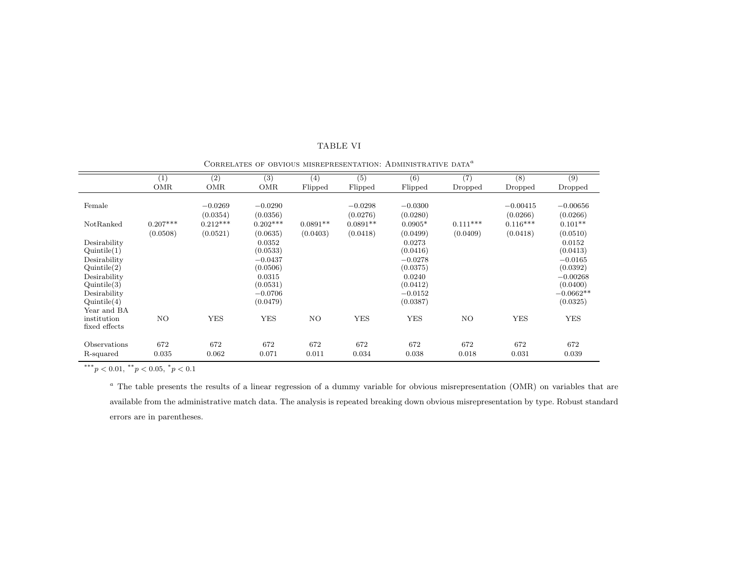|                            | $\overline{(1)}$ | $\overline{(2)}$ | $\overline{(3)}$ | $\overline{(4)}$ | $\overline{(5)}$ | $\overline{(6)}$ | (7)        | (8)        | (9)         |
|----------------------------|------------------|------------------|------------------|------------------|------------------|------------------|------------|------------|-------------|
|                            | OMR              | <b>OMR</b>       | OMR              | Flipped          | Flipped          | Flipped          | Dropped    | Dropped    | Dropped     |
| Female                     |                  | $-0.0269$        | $-0.0290$        |                  | $-0.0298$        | $-0.0300$        |            | $-0.00415$ | $-0.00656$  |
|                            |                  | (0.0354)         | (0.0356)         |                  | (0.0276)         | (0.0280)         |            | (0.0266)   | (0.0266)    |
| NotRanked                  | $0.207***$       | $0.212***$       | $0.202***$       | $0.0891**$       | $0.0891**$       | $0.0905*$        | $0.111***$ | $0.116***$ | $0.101**$   |
|                            | (0.0508)         | (0.0521)         | (0.0635)         | (0.0403)         | (0.0418)         | (0.0499)         | (0.0409)   | (0.0418)   | (0.0510)    |
| Desirability               |                  |                  | 0.0352           |                  |                  | 0.0273           |            |            | 0.0152      |
| Quintile(1)                |                  |                  | (0.0533)         |                  |                  | (0.0416)         |            |            | (0.0413)    |
| Desirability               |                  |                  | $-0.0437$        |                  |                  | $-0.0278$        |            |            | $-0.0165$   |
| Quintile(2)                |                  |                  | (0.0506)         |                  |                  | (0.0375)         |            |            | (0.0392)    |
| Desirability               |                  |                  | 0.0315           |                  |                  | 0.0240           |            |            | $-0.00268$  |
| Quintile(3)                |                  |                  | (0.0531)         |                  |                  | (0.0412)         |            |            | (0.0400)    |
| Desirability               |                  |                  | $-0.0706$        |                  |                  | $-0.0152$        |            |            | $-0.0662**$ |
| Quintile(4)                |                  |                  | (0.0479)         |                  |                  | (0.0387)         |            |            | (0.0325)    |
| Year and BA<br>institution | NO               | <b>YES</b>       | <b>YES</b>       | NO               | <b>YES</b>       | <b>YES</b>       | NO         | <b>YES</b> | <b>YES</b>  |
| fixed effects              |                  |                  |                  |                  |                  |                  |            |            |             |
| Observations               | 672              | 672              | 672              | 672              | 672              | 672              | 672        | 672        | 672         |
| R-squared                  | 0.035            | 0.062            | 0.071            | 0.011            | 0.034            | 0.038            | 0.018      | 0.031      | 0.039       |

TABLE VI

CORRELATES OF OBVIOUS MISREPRESENTATION: ADMINISTRATIVE DATA<sup> $a$ </sup>

\*\*\* $p < 0.01,$ \*\* $p < 0.05,$ \* $p < 0.1$ 

<span id="page-31-0"></span><sup>a</sup> The table presents the results of a linear regression of a dummy variable for obvious misrepresentation (OMR) on variables that are available from the administrative match data. The analysis is repeated breaking down obvious misrepresentation by type. Robust standarderrors are in parentheses.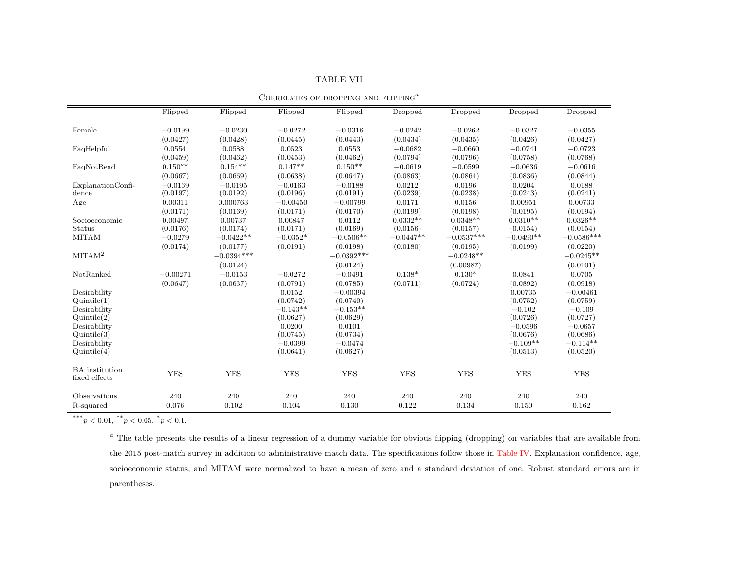| CORRELATES OF DROPPING AND FLIPPING <sup>a</sup>                                                                         |                                              |                                                |                                                                                             |                                                                                                 |                                                   |                                                    |                                                                                                |                                                                                                   |
|--------------------------------------------------------------------------------------------------------------------------|----------------------------------------------|------------------------------------------------|---------------------------------------------------------------------------------------------|-------------------------------------------------------------------------------------------------|---------------------------------------------------|----------------------------------------------------|------------------------------------------------------------------------------------------------|---------------------------------------------------------------------------------------------------|
|                                                                                                                          | Flipped                                      | Flipped                                        | Flipped                                                                                     | Flipped                                                                                         | Dropped                                           | Dropped                                            | Dropped                                                                                        | Dropped                                                                                           |
| Female                                                                                                                   | $-0.0199$                                    | $-0.0230$                                      | $-0.0272$                                                                                   | $-0.0316$                                                                                       | $-0.0242$                                         | $-0.0262$                                          | $-0.0327$                                                                                      | $-0.0355$                                                                                         |
|                                                                                                                          | (0.0427)                                     | (0.0428)                                       | (0.0445)                                                                                    | (0.0443)                                                                                        | (0.0434)                                          | (0.0435)                                           | (0.0426)                                                                                       | (0.0427)                                                                                          |
| FaqHelpful                                                                                                               | 0.0554                                       | 0.0588                                         | 0.0523                                                                                      | 0.0553                                                                                          | $-0.0682$                                         | $-0.0660$                                          | $-0.0741$                                                                                      | $-0.0723$                                                                                         |
|                                                                                                                          | (0.0459)                                     | (0.0462)                                       | (0.0453)                                                                                    | (0.0462)                                                                                        | (0.0794)                                          | (0.0796)                                           | (0.0758)                                                                                       | (0.0768)                                                                                          |
| FaqNotRead                                                                                                               | $0.150**$                                    | $0.154**$                                      | $0.147**$                                                                                   | $0.150**$                                                                                       | $-0.0619$                                         | $-0.0599$                                          | $-0.0636$                                                                                      | $-0.0616$                                                                                         |
|                                                                                                                          | (0.0667)                                     | (0.0669)                                       | (0.0638)                                                                                    | (0.0647)                                                                                        | (0.0863)                                          | (0.0864)                                           | (0.0836)                                                                                       | (0.0844)                                                                                          |
| ExplanationConfi-                                                                                                        | $-0.0169$                                    | $-0.0195$                                      | $-0.0163$                                                                                   | $-0.0188$                                                                                       | 0.0212                                            | 0.0196                                             | 0.0204                                                                                         | 0.0188                                                                                            |
| dence                                                                                                                    | (0.0197)                                     | (0.0192)                                       | (0.0196)                                                                                    | (0.0191)                                                                                        | (0.0239)                                          | (0.0238)                                           | (0.0243)                                                                                       | (0.0241)                                                                                          |
| Age                                                                                                                      | 0.00311                                      | 0.000763                                       | $-0.00450$                                                                                  | $-0.00799$                                                                                      | 0.0171                                            | 0.0156                                             | 0.00951                                                                                        | 0.00733                                                                                           |
|                                                                                                                          | (0.0171)                                     | (0.0169)                                       | (0.0171)                                                                                    | (0.0170)                                                                                        | (0.0199)                                          | (0.0198)                                           | (0.0195)                                                                                       | (0.0194)                                                                                          |
| Socioeconomic<br>Status<br><b>MITAM</b>                                                                                  | 0.00497<br>(0.0176)<br>$-0.0279$<br>(0.0174) | 0.00737<br>(0.0174)<br>$-0.0422**$<br>(0.0177) | 0.00847<br>(0.0171)<br>$-0.0352*$<br>(0.0191)                                               | 0.0112<br>(0.0169)<br>$-0.0506**$<br>(0.0198)                                                   | $0.0332**$<br>(0.0156)<br>$-0.0447**$<br>(0.0180) | $0.0348**$<br>(0.0157)<br>$-0.0537***$<br>(0.0195) | $0.0310**$<br>(0.0154)<br>$-0.0490**$<br>(0.0199)                                              | $0.0326**$<br>(0.0154)<br>$-0.0586***$<br>(0.0220)                                                |
| MITAM <sup>2</sup>                                                                                                       |                                              | $-0.0394***$<br>(0.0124)                       |                                                                                             | $-0.0392***$<br>(0.0124)                                                                        |                                                   | $-0.0248**$<br>(0.00987)                           |                                                                                                | $-0.0245**$<br>(0.0101)                                                                           |
| NotRanked                                                                                                                | $-0.00271$                                   | $-0.0153$                                      | $-0.0272$                                                                                   | $-0.0491$                                                                                       | $0.138*$                                          | $0.130*$                                           | 0.0841                                                                                         | 0.0705                                                                                            |
|                                                                                                                          | (0.0647)                                     | (0.0637)                                       | (0.0791)                                                                                    | (0.0785)                                                                                        | (0.0711)                                          | (0.0724)                                           | (0.0892)                                                                                       | (0.0918)                                                                                          |
| Desirability<br>Quintile(1)<br>Desirability<br>Quintile(2)<br>Desirability<br>Quintile(3)<br>Desirability<br>Quintile(4) |                                              |                                                | 0.0152<br>(0.0742)<br>$-0.143**$<br>(0.0627)<br>0.0200<br>(0.0745)<br>$-0.0399$<br>(0.0641) | $-0.00394$<br>(0.0740)<br>$-0.153**$<br>(0.0629)<br>0.0101<br>(0.0734)<br>$-0.0474$<br>(0.0627) |                                                   |                                                    | 0.00735<br>(0.0752)<br>$-0.102$<br>(0.0726)<br>$-0.0596$<br>(0.0676)<br>$-0.109**$<br>(0.0513) | $-0.00461$<br>(0.0759)<br>$-0.109$<br>(0.0727)<br>$-0.0657$<br>(0.0686)<br>$-0.114**$<br>(0.0520) |
| <b>BA</b> institution<br>fixed effects                                                                                   | <b>YES</b>                                   | <b>YES</b>                                     | <b>YES</b>                                                                                  | <b>YES</b>                                                                                      | <b>YES</b>                                        | <b>YES</b>                                         | <b>YES</b>                                                                                     | <b>YES</b>                                                                                        |
| Observations                                                                                                             | 240                                          | 240                                            | 240                                                                                         | 240                                                                                             | 240                                               | 240                                                | 240                                                                                            | 240                                                                                               |
| R-squared                                                                                                                | 0.076                                        | 0.102                                          | 0.104                                                                                       | 0.130                                                                                           | 0.122                                             | 0.134                                              | 0.150                                                                                          | 0.162                                                                                             |

TABLE VII

\*\*\* $p < 0.01,$ \*\* $p < 0.05,$ \* $p < 0.1$ .

<span id="page-32-0"></span><sup>a</sup> The table presents the results of a linear regression of a dummy variable for obvious flipping (dropping) on variables that are available from the 2015 post-match survey in addition to administrative match data. The specifications follow those in [Table](#page-21-1) IV. Explanation confidence, age, socioeconomic status, and MITAM were normalized to have <sup>a</sup> mean of zero and <sup>a</sup> standard deviation of one. Robust standard errors are inparentheses.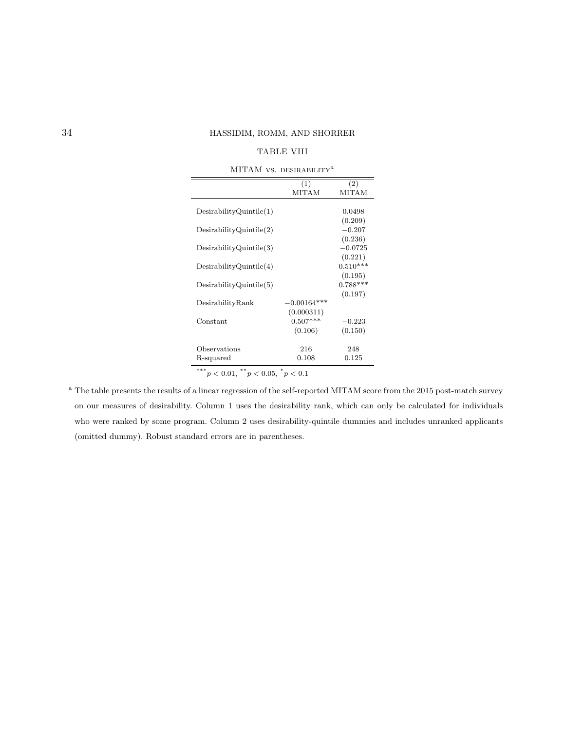## TABLE VIII

<span id="page-33-0"></span>

|                                              | MITAM VS. DESIRABILITY <sup><math>a</math></sup> |              |
|----------------------------------------------|--------------------------------------------------|--------------|
|                                              | (1)                                              | (2)          |
|                                              | <b>MITAM</b>                                     | <b>MITAM</b> |
|                                              |                                                  |              |
| DesirabilityQuintile(1)                      |                                                  | 0.0498       |
|                                              |                                                  | (0.209)      |
| DesirabilityQuintile(2)                      |                                                  | $-0.207$     |
|                                              |                                                  | (0.236)      |
| DesirabilityQuintile(3)                      |                                                  | $-0.0725$    |
|                                              |                                                  | (0.221)      |
| DesirabilityQuintile(4)                      |                                                  | $0.510***$   |
|                                              |                                                  | (0.195)      |
| DesirabilityQuintile(5)                      |                                                  | $0.788***$   |
|                                              |                                                  | (0.197)      |
| DesirabilityRank                             | $-0.00164***$                                    |              |
|                                              | (0.000311)                                       |              |
| Constant                                     | $0.507***$                                       | $-0.223$     |
|                                              | (0.106)                                          | (0.150)      |
|                                              |                                                  |              |
| Observations                                 | 216                                              | 248          |
| R-squared                                    | 0.108                                            | 0.125        |
| *** $p < 0.01$ , ** $p < 0.05$ , * $p < 0.1$ |                                                  |              |

<sup>a</sup> The table presents the results of a linear regression of the self-reported MITAM score from the 2015 post-match survey on our measures of desirability. Column 1 uses the desirability rank, which can only be calculated for individuals who were ranked by some program. Column 2 uses desirability-quintile dummies and includes unranked applicants (omitted dummy). Robust standard errors are in parentheses.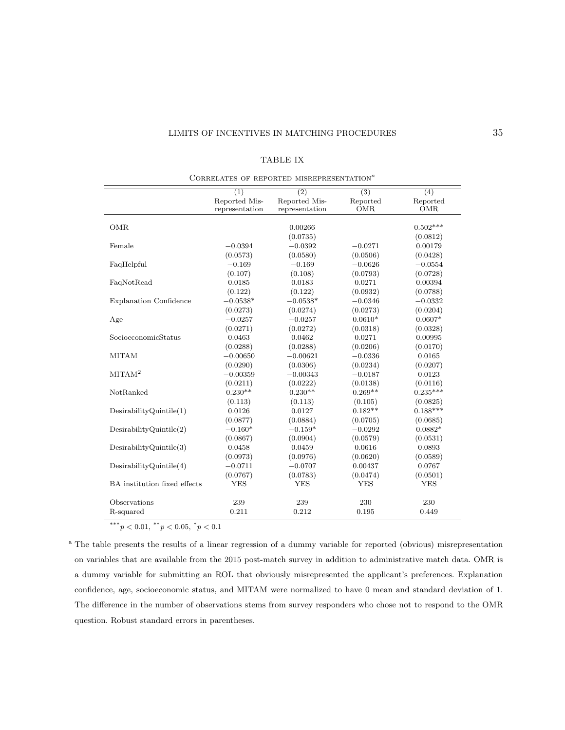### TABLE IX

<span id="page-34-0"></span>

|                              | (1)                             | $\overline{(2)}$                | (3)             | (4)             |
|------------------------------|---------------------------------|---------------------------------|-----------------|-----------------|
|                              | Reported Mis-<br>representation | Reported Mis-<br>representation | Reported<br>OMR | Reported<br>OMR |
| OMR                          |                                 | 0.00266                         |                 | $0.502***$      |
|                              |                                 | (0.0735)                        |                 | (0.0812)        |
| Female                       | $-0.0394$                       | $-0.0392$                       | $-0.0271$       | 0.00179         |
|                              | (0.0573)                        | (0.0580)                        | (0.0506)        | (0.0428)        |
| FaqHelpful                   | $-0.169$                        | $-0.169$                        | $-0.0626$       | $-0.0554$       |
|                              | (0.107)                         | (0.108)                         | (0.0793)        | (0.0728)        |
| FaqNotRead                   | 0.0185                          | 0.0183                          | 0.0271          | 0.00394         |
|                              | (0.122)                         | (0.122)                         | (0.0932)        | (0.0788)        |
| Explanation Confidence       | $-0.0538*$                      | $-0.0538*$                      | $-0.0346$       | $-0.0332$       |
|                              | (0.0273)                        | (0.0274)                        | (0.0273)        | (0.0204)        |
| Age                          | $-0.0257$                       | $-0.0257$                       | $0.0610*$       | $0.0607*$       |
|                              | (0.0271)                        | (0.0272)                        | (0.0318)        | (0.0328)        |
| SocioeconomicStatus          | 0.0463                          | 0.0462                          | 0.0271          | 0.00995         |
|                              | (0.0288)                        | (0.0288)                        | (0.0206)        | (0.0170)        |
| <b>MITAM</b>                 | $-0.00650$                      | $-0.00621$                      | $-0.0336$       | 0.0165          |
|                              | (0.0290)                        | (0.0306)                        | (0.0234)        | (0.0207)        |
| MITAM <sup>2</sup>           | $-0.00359$                      | $-0.00343$                      | $-0.0187$       | 0.0123          |
|                              | (0.0211)                        | (0.0222)                        | (0.0138)        | (0.0116)        |
| NotRanked                    | $0.230**$                       | $0.230**$                       | $0.269**$       | $0.235***$      |
|                              | (0.113)                         | (0.113)                         | (0.105)         | (0.0825)        |
| DesirabilityQuintile(1)      | 0.0126                          | 0.0127                          | $0.182**$       | $0.188***$      |
|                              | (0.0877)                        | (0.0884)                        | (0.0705)        | (0.0685)        |
| DesirabilityQuintile(2)      | $-0.160*$                       | $-0.159*$                       | $-0.0292$       | $0.0882*$       |
|                              | (0.0867)                        | (0.0904)                        | (0.0579)        | (0.0531)        |
| DesirabilityQuintile(3)      | 0.0458                          | 0.0459                          | 0.0616          | 0.0893          |
|                              | (0.0973)                        | (0.0976)                        | (0.0620)        | (0.0589)        |
| DesirabilityQuintile(4)      | $-0.0711$                       | $-0.0707$                       | 0.00437         | 0.0767          |
|                              | (0.0767)                        | (0.0783)                        | (0.0474)        | (0.0501)        |
| BA institution fixed effects | <b>YES</b>                      | <b>YES</b>                      | <b>YES</b>      | <b>YES</b>      |
|                              |                                 |                                 |                 |                 |
| Observations                 | 239                             | 239                             | 230             | 230             |
| R-squared                    | 0.211                           | 0.212                           | 0.195           | 0.449           |

 $\overline{C}$ orrelates of reported misrepresentation<sup>a</sup>

 $p^*p < 0.01$ ,  $p^*p < 0.05$ ,  $p^*p < 0.1$ 

<sup>a</sup> The table presents the results of a linear regression of a dummy variable for reported (obvious) misrepresentation on variables that are available from the 2015 post-match survey in addition to administrative match data. OMR is a dummy variable for submitting an ROL that obviously misrepresented the applicant's preferences. Explanation confidence, age, socioeconomic status, and MITAM were normalized to have 0 mean and standard deviation of 1. The difference in the number of observations stems from survey responders who chose not to respond to the OMR question. Robust standard errors in parentheses.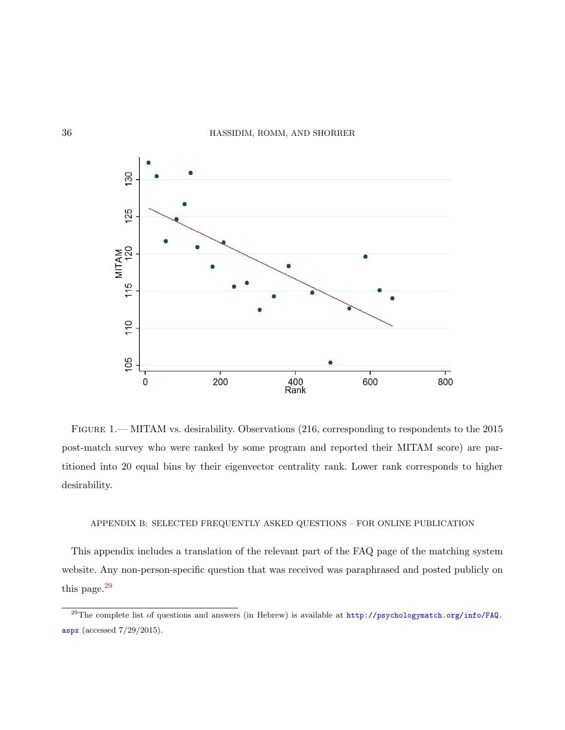

Figure 1.— MITAM vs. desirability. Observations (216, corresponding to respondents to the 2015 post-match survey who were ranked by some program and reported their MITAM score) are partitioned into 20 equal bins by their eigenvector centrality rank. Lower rank corresponds to higher desirability.

### <span id="page-35-0"></span>APPENDIX B: SELECTED FREQUENTLY ASKED QUESTIONS – FOR ONLINE PUBLICATION

This appendix includes a translation of the relevant part of the FAQ page of the matching system website. Any non-person-specific question that was received was paraphrased and posted publicly on this page. $^{29}$  $^{29}$  $^{29}$ 

<span id="page-35-1"></span><sup>&</sup>lt;sup>29</sup>The complete list of questions and answers (in Hebrew) is available at [http://psychologymatch.org/info/FAQ.](http://psychologymatch.org/info/FAQ.aspx) [aspx](http://psychologymatch.org/info/FAQ.aspx) (accessed 7/29/2015).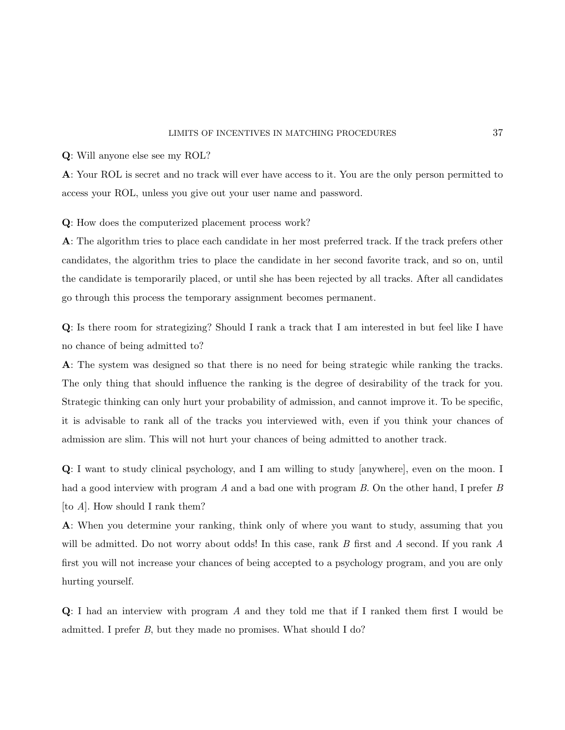Q: Will anyone else see my ROL?

A: Your ROL is secret and no track will ever have access to it. You are the only person permitted to access your ROL, unless you give out your user name and password.

Q: How does the computerized placement process work?

A: The algorithm tries to place each candidate in her most preferred track. If the track prefers other candidates, the algorithm tries to place the candidate in her second favorite track, and so on, until the candidate is temporarily placed, or until she has been rejected by all tracks. After all candidates go through this process the temporary assignment becomes permanent.

Q: Is there room for strategizing? Should I rank a track that I am interested in but feel like I have no chance of being admitted to?

A: The system was designed so that there is no need for being strategic while ranking the tracks. The only thing that should influence the ranking is the degree of desirability of the track for you. Strategic thinking can only hurt your probability of admission, and cannot improve it. To be specific, it is advisable to rank all of the tracks you interviewed with, even if you think your chances of admission are slim. This will not hurt your chances of being admitted to another track.

Q: I want to study clinical psychology, and I am willing to study [anywhere], even on the moon. I had a good interview with program A and a bad one with program B. On the other hand, I prefer B [to A]. How should I rank them?

A: When you determine your ranking, think only of where you want to study, assuming that you will be admitted. Do not worry about odds! In this case, rank B first and A second. If you rank A first you will not increase your chances of being accepted to a psychology program, and you are only hurting yourself.

Q: I had an interview with program A and they told me that if I ranked them first I would be admitted. I prefer B, but they made no promises. What should I do?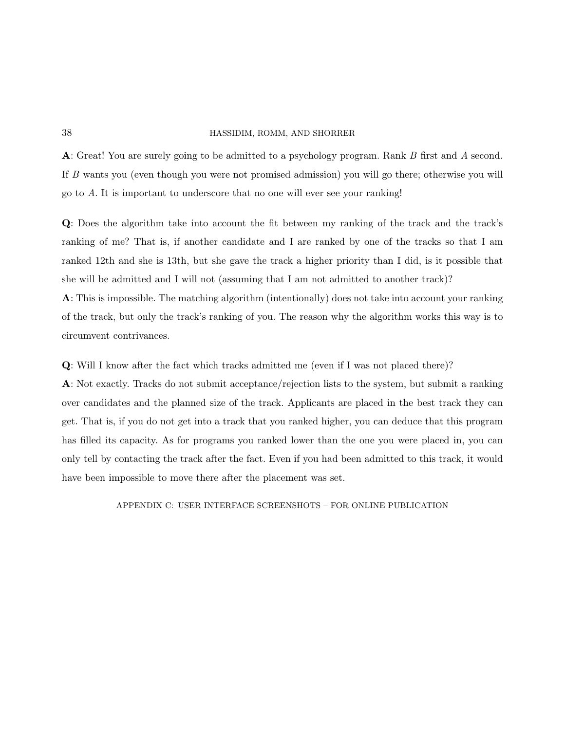A: Great! You are surely going to be admitted to a psychology program. Rank B first and A second. If B wants you (even though you were not promised admission) you will go there; otherwise you will go to A. It is important to underscore that no one will ever see your ranking!

Q: Does the algorithm take into account the fit between my ranking of the track and the track's ranking of me? That is, if another candidate and I are ranked by one of the tracks so that I am ranked 12th and she is 13th, but she gave the track a higher priority than I did, is it possible that she will be admitted and I will not (assuming that I am not admitted to another track)?

A: This is impossible. The matching algorithm (intentionally) does not take into account your ranking of the track, but only the track's ranking of you. The reason why the algorithm works this way is to circumvent contrivances.

Q: Will I know after the fact which tracks admitted me (even if I was not placed there)?

A: Not exactly. Tracks do not submit acceptance/rejection lists to the system, but submit a ranking over candidates and the planned size of the track. Applicants are placed in the best track they can get. That is, if you do not get into a track that you ranked higher, you can deduce that this program has filled its capacity. As for programs you ranked lower than the one you were placed in, you can only tell by contacting the track after the fact. Even if you had been admitted to this track, it would have been impossible to move there after the placement was set.

<span id="page-37-0"></span>APPENDIX C: USER INTERFACE SCREENSHOTS – FOR ONLINE PUBLICATION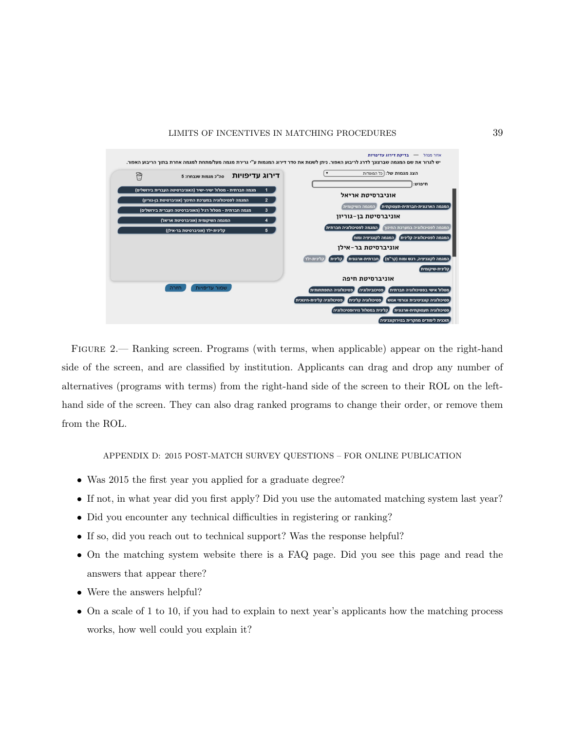

Figure 2.— Ranking screen. Programs (with terms, when applicable) appear on the right-hand side of the screen, and are classified by institution. Applicants can drag and drop any number of alternatives (programs with terms) from the right-hand side of the screen to their ROL on the lefthand side of the screen. They can also drag ranked programs to change their order, or remove them from the ROL.

APPENDIX D: 2015 POST-MATCH SURVEY QUESTIONS – FOR ONLINE PUBLICATION

- <span id="page-38-0"></span>• Was 2015 the first year you applied for a graduate degree?
- If not, in what year did you first apply? Did you use the automated matching system last year?
- Did you encounter any technical difficulties in registering or ranking?
- If so, did you reach out to technical support? Was the response helpful?
- On the matching system website there is a FAQ page. Did you see this page and read the answers that appear there?
- Were the answers helpful?
- On a scale of 1 to 10, if you had to explain to next year's applicants how the matching process works, how well could you explain it?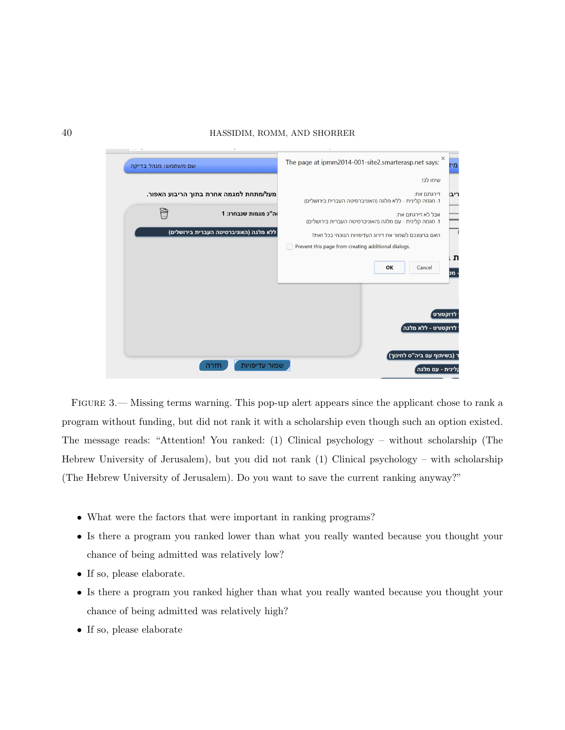![](_page_39_Picture_1.jpeg)

Figure 3.— Missing terms warning. This pop-up alert appears since the applicant chose to rank a program without funding, but did not rank it with a scholarship even though such an option existed. The message reads: "Attention! You ranked: (1) Clinical psychology – without scholarship (The Hebrew University of Jerusalem), but you did not rank (1) Clinical psychology – with scholarship (The Hebrew University of Jerusalem). Do you want to save the current ranking anyway?"

- What were the factors that were important in ranking programs?
- Is there a program you ranked lower than what you really wanted because you thought your chance of being admitted was relatively low?
- If so, please elaborate.
- Is there a program you ranked higher than what you really wanted because you thought your chance of being admitted was relatively high?
- If so, please elaborate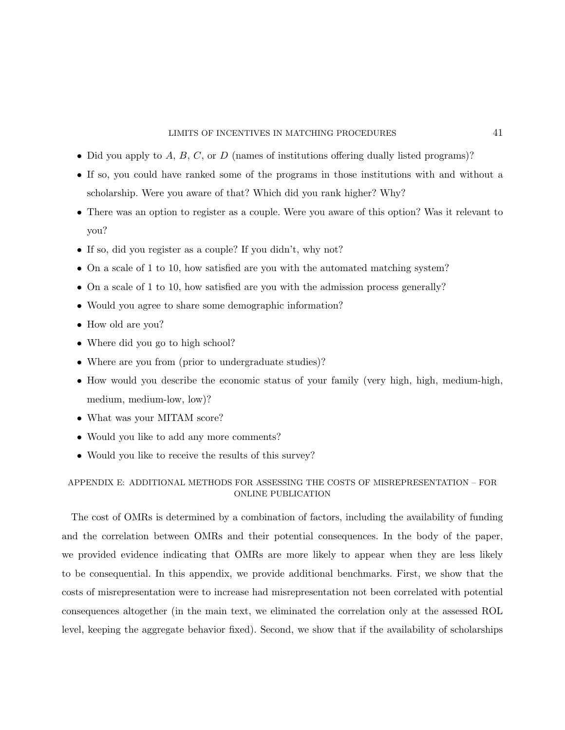- Did you apply to A, B, C, or D (names of institutions offering dually listed programs)?
- If so, you could have ranked some of the programs in those institutions with and without a scholarship. Were you aware of that? Which did you rank higher? Why?
- There was an option to register as a couple. Were you aware of this option? Was it relevant to you?
- If so, did you register as a couple? If you didn't, why not?
- On a scale of 1 to 10, how satisfied are you with the automated matching system?
- On a scale of 1 to 10, how satisfied are you with the admission process generally?
- Would you agree to share some demographic information?
- How old are you?
- Where did you go to high school?
- Where are you from (prior to undergraduate studies)?
- How would you describe the economic status of your family (very high, high, medium-high, medium, medium-low, low)?
- What was your MITAM score?
- Would you like to add any more comments?
- Would you like to receive the results of this survey?

## <span id="page-40-0"></span>APPENDIX E: ADDITIONAL METHODS FOR ASSESSING THE COSTS OF MISREPRESENTATION – FOR ONLINE PUBLICATION

The cost of OMRs is determined by a combination of factors, including the availability of funding and the correlation between OMRs and their potential consequences. In the body of the paper, we provided evidence indicating that OMRs are more likely to appear when they are less likely to be consequential. In this appendix, we provide additional benchmarks. First, we show that the costs of misrepresentation were to increase had misrepresentation not been correlated with potential consequences altogether (in the main text, we eliminated the correlation only at the assessed ROL level, keeping the aggregate behavior fixed). Second, we show that if the availability of scholarships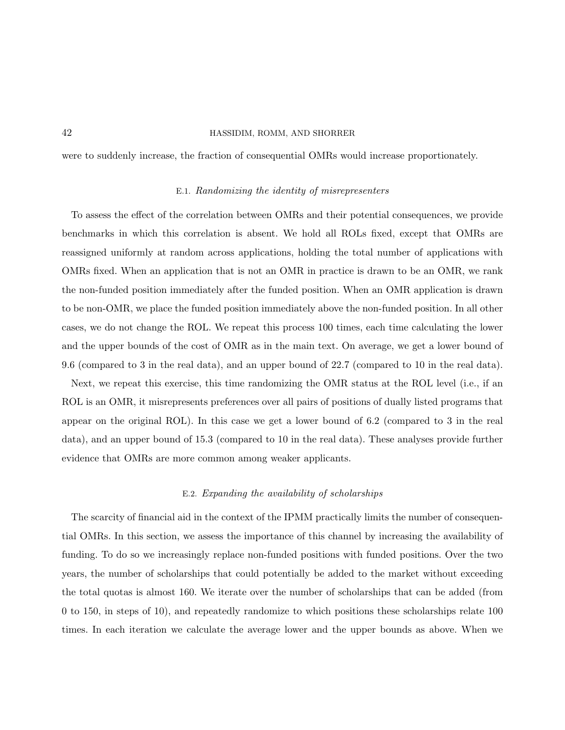were to suddenly increase, the fraction of consequential OMRs would increase proportionately.

#### E.1. Randomizing the identity of misrepresenters

To assess the effect of the correlation between OMRs and their potential consequences, we provide benchmarks in which this correlation is absent. We hold all ROLs fixed, except that OMRs are reassigned uniformly at random across applications, holding the total number of applications with OMRs fixed. When an application that is not an OMR in practice is drawn to be an OMR, we rank the non-funded position immediately after the funded position. When an OMR application is drawn to be non-OMR, we place the funded position immediately above the non-funded position. In all other cases, we do not change the ROL. We repeat this process 100 times, each time calculating the lower and the upper bounds of the cost of OMR as in the main text. On average, we get a lower bound of 9.6 (compared to 3 in the real data), and an upper bound of 22.7 (compared to 10 in the real data).

Next, we repeat this exercise, this time randomizing the OMR status at the ROL level (i.e., if an ROL is an OMR, it misrepresents preferences over all pairs of positions of dually listed programs that appear on the original ROL). In this case we get a lower bound of 6.2 (compared to 3 in the real data), and an upper bound of 15.3 (compared to 10 in the real data). These analyses provide further evidence that OMRs are more common among weaker applicants.

#### E.2. Expanding the availability of scholarships

The scarcity of financial aid in the context of the IPMM practically limits the number of consequential OMRs. In this section, we assess the importance of this channel by increasing the availability of funding. To do so we increasingly replace non-funded positions with funded positions. Over the two years, the number of scholarships that could potentially be added to the market without exceeding the total quotas is almost 160. We iterate over the number of scholarships that can be added (from 0 to 150, in steps of 10), and repeatedly randomize to which positions these scholarships relate 100 times. In each iteration we calculate the average lower and the upper bounds as above. When we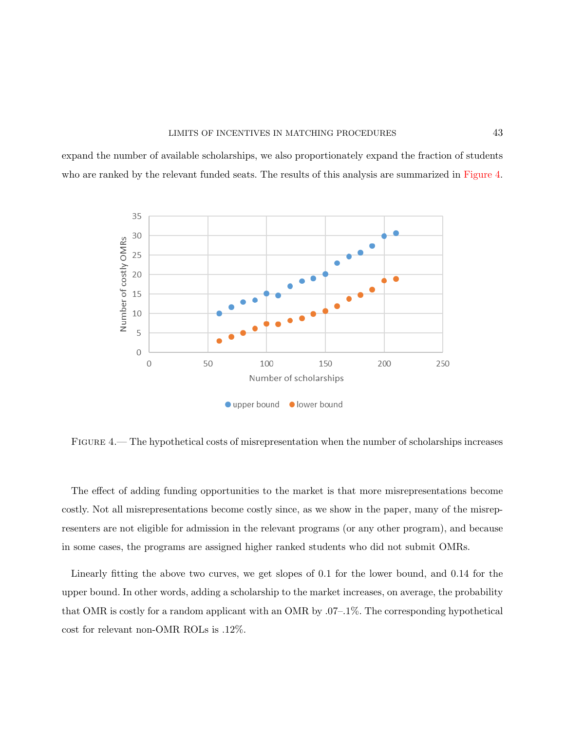expand the number of available scholarships, we also proportionately expand the fraction of students who are ranked by the relevant funded seats. The results of this analysis are summarized in [Figure 4.](#page-42-0)

![](_page_42_Figure_2.jpeg)

<span id="page-42-0"></span>Figure 4.— The hypothetical costs of misrepresentation when the number of scholarships increases

The effect of adding funding opportunities to the market is that more misrepresentations become costly. Not all misrepresentations become costly since, as we show in the paper, many of the misrepresenters are not eligible for admission in the relevant programs (or any other program), and because in some cases, the programs are assigned higher ranked students who did not submit OMRs.

Linearly fitting the above two curves, we get slopes of 0.1 for the lower bound, and 0.14 for the upper bound. In other words, adding a scholarship to the market increases, on average, the probability that OMR is costly for a random applicant with an OMR by .07–.1%. The corresponding hypothetical cost for relevant non-OMR ROLs is .12%.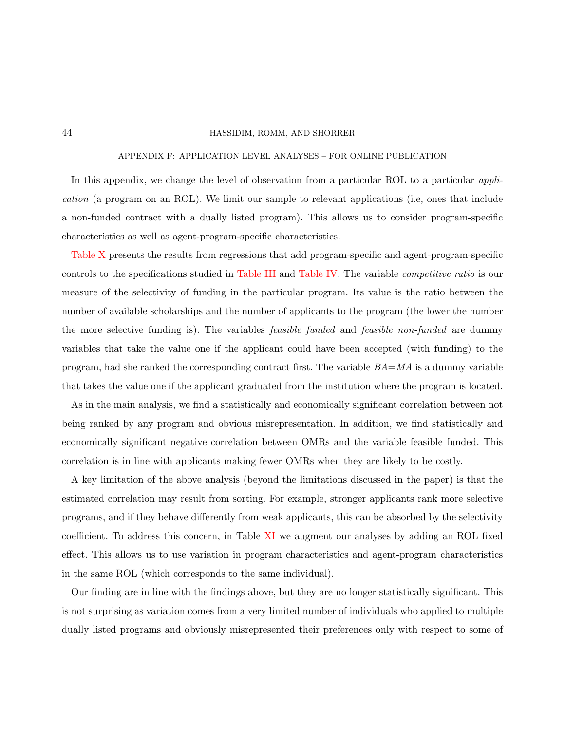#### APPENDIX F: APPLICATION LEVEL ANALYSES – FOR ONLINE PUBLICATION

In this appendix, we change the level of observation from a particular ROL to a particular *appli*cation (a program on an ROL). We limit our sample to relevant applications (i.e, ones that include a non-funded contract with a dually listed program). This allows us to consider program-specific characteristics as well as agent-program-specific characteristics.

[Table X](#page-44-0) presents the results from regressions that add program-specific and agent-program-specific controls to the specifications studied in [Table III](#page-19-1) and [Table IV.](#page-21-0) The variable competitive ratio is our measure of the selectivity of funding in the particular program. Its value is the ratio between the number of available scholarships and the number of applicants to the program (the lower the number the more selective funding is). The variables *feasible funded* and *feasible non-funded* are dummy variables that take the value one if the applicant could have been accepted (with funding) to the program, had she ranked the corresponding contract first. The variable  $BA=MA$  is a dummy variable that takes the value one if the applicant graduated from the institution where the program is located.

As in the main analysis, we find a statistically and economically significant correlation between not being ranked by any program and obvious misrepresentation. In addition, we find statistically and economically significant negative correlation between OMRs and the variable feasible funded. This correlation is in line with applicants making fewer OMRs when they are likely to be costly.

A key limitation of the above analysis (beyond the limitations discussed in the paper) is that the estimated correlation may result from sorting. For example, stronger applicants rank more selective programs, and if they behave differently from weak applicants, this can be absorbed by the selectivity coefficient. To address this concern, in Table [XI](#page-46-0) we augment our analyses by adding an ROL fixed effect. This allows us to use variation in program characteristics and agent-program characteristics in the same ROL (which corresponds to the same individual).

Our finding are in line with the findings above, but they are no longer statistically significant. This is not surprising as variation comes from a very limited number of individuals who applied to multiple dually listed programs and obviously misrepresented their preferences only with respect to some of

<span id="page-43-0"></span>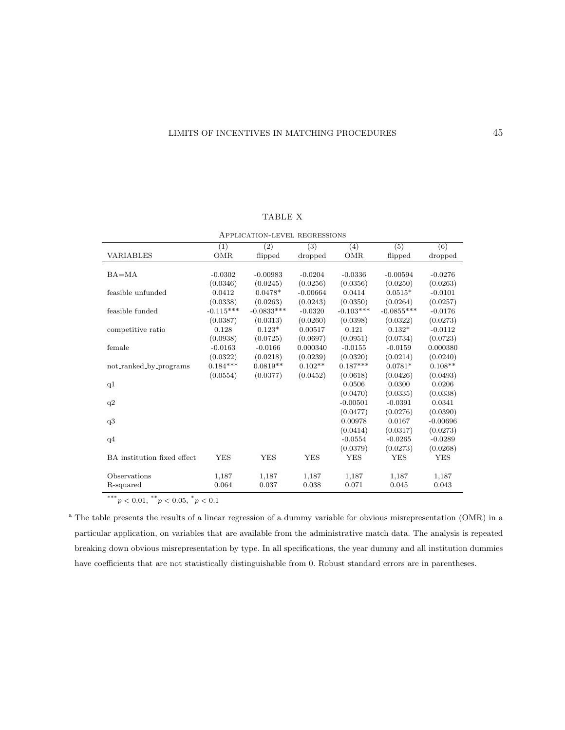<span id="page-44-0"></span>

| APPLICATION-LEVEL REGRESSIONS                |             |              |            |             |              |            |  |
|----------------------------------------------|-------------|--------------|------------|-------------|--------------|------------|--|
|                                              | (1)         | (2)          | (3)        | (4)         | (5)          | (6)        |  |
| <b>VARIABLES</b>                             | <b>OMR</b>  | flipped      | dropped    | OMR         | flipped      | dropped    |  |
|                                              |             |              |            |             |              |            |  |
| $BA=MA$                                      | $-0.0302$   | $-0.00983$   | $-0.0204$  | $-0.0336$   | $-0.00594$   | $-0.0276$  |  |
|                                              | (0.0346)    | (0.0245)     | (0.0256)   | (0.0356)    | (0.0250)     | (0.0263)   |  |
| feasible unfunded                            | 0.0412      | $0.0478*$    | $-0.00664$ | 0.0414      | $0.0515*$    | $-0.0101$  |  |
|                                              | (0.0338)    | (0.0263)     | (0.0243)   | (0.0350)    | (0.0264)     | (0.0257)   |  |
| feasible funded                              | $-0.115***$ | $-0.0833***$ | $-0.0320$  | $-0.103***$ | $-0.0855***$ | $-0.0176$  |  |
|                                              | (0.0387)    | (0.0313)     | (0.0260)   | (0.0398)    | (0.0322)     | (0.0273)   |  |
| competitive ratio                            | 0.128       | $0.123*$     | 0.00517    | 0.121       | $0.132*$     | $-0.0112$  |  |
|                                              | (0.0938)    | (0.0725)     | (0.0697)   | (0.0951)    | (0.0734)     | (0.0723)   |  |
| female                                       | $-0.0163$   | $-0.0166$    | 0.000340   | $-0.0155$   | $-0.0159$    | 0.000380   |  |
|                                              | (0.0322)    | (0.0218)     | (0.0239)   | (0.0320)    | (0.0214)     | (0.0240)   |  |
| not_ranked_by_programs                       | $0.184***$  | $0.0819**$   | $0.102**$  | $0.187***$  | $0.0781*$    | $0.108**$  |  |
|                                              | (0.0554)    | (0.0377)     | (0.0452)   | (0.0618)    | (0.0426)     | (0.0493)   |  |
| q1                                           |             |              |            | 0.0506      | 0.0300       | 0.0206     |  |
|                                              |             |              |            | (0.0470)    | (0.0335)     | (0.0338)   |  |
| q2                                           |             |              |            | $-0.00501$  | $-0.0391$    | 0.0341     |  |
|                                              |             |              |            | (0.0477)    | (0.0276)     | (0.0390)   |  |
| q3                                           |             |              |            | 0.00978     | 0.0167       | $-0.00696$ |  |
|                                              |             |              |            | (0.0414)    | (0.0317)     | (0.0273)   |  |
| q <sub>4</sub>                               |             |              |            | $-0.0554$   | $-0.0265$    | $-0.0289$  |  |
|                                              |             |              |            | (0.0379)    | (0.0273)     | (0.0268)   |  |
| BA institution fixed effect                  | <b>YES</b>  | <b>YES</b>   | <b>YES</b> | YES         | <b>YES</b>   | YES        |  |
|                                              |             |              |            |             |              |            |  |
| Observations                                 | 1,187       | 1,187        | 1,187      | 1,187       | 1,187        | 1,187      |  |
| R-squared                                    | 0.064       | 0.037        | 0.038      | 0.071       | 0.045        | 0.043      |  |
| ***<br>$\rightarrow$<br>$\ddot{\phantom{1}}$ |             |              |            |             |              |            |  |

#### TABLE X

\*\*\* $p < 0.01,$ \*\* $p < 0.05,$ \* $p < 0.1$ 

<sup>a</sup> The table presents the results of a linear regression of a dummy variable for obvious misrepresentation (OMR) in a particular application, on variables that are available from the administrative match data. The analysis is repeated breaking down obvious misrepresentation by type. In all specifications, the year dummy and all institution dummies have coefficients that are not statistically distinguishable from 0. Robust standard errors are in parentheses.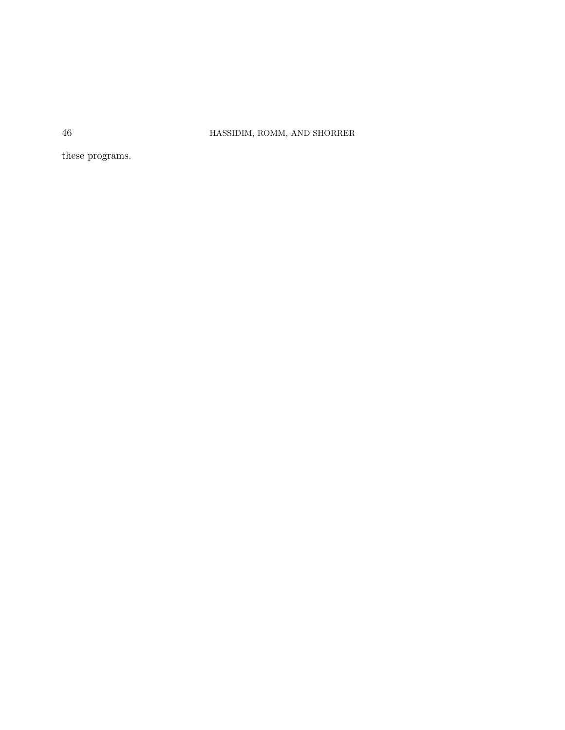these programs.